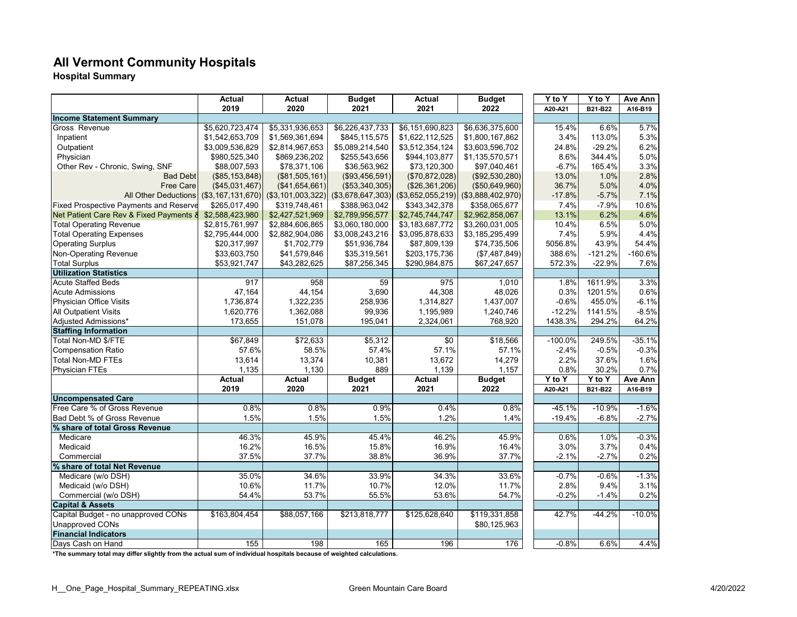# **All Vermont Community Hospitals**

**Hospital Summary**

|                                               | Actual            | Actual            | <b>Budget</b>     | <b>Actual</b>     | <b>Budget</b>     | $\overline{Y}$ to Y | Y to Y    | Ave Ann   |
|-----------------------------------------------|-------------------|-------------------|-------------------|-------------------|-------------------|---------------------|-----------|-----------|
|                                               | 2019              | 2020              | 2021              | 2021              | 2022              | A20-A21             | B21-B22   | A16-B19   |
| <b>Income Statement Summary</b>               |                   |                   |                   |                   |                   |                     |           |           |
| Gross Revenue                                 | \$5,620,723,474   | \$5,331,936,653   | \$6,226,437,733   | \$6,151,690,823   | \$6,636,375,600   | 15.4%               | 6.6%      | 5.7%      |
| Inpatient                                     | \$1,542,653,709   | \$1,569,361,694   | \$845.115.575     | \$1,622,112,525   | \$1,800,167,862   | 3.4%                | 113.0%    | 5.3%      |
| Outpatient                                    | \$3,009,536,829   | \$2,814,967,653   | \$5,089,214,540   | \$3,512,354,124   | \$3,603,596,702   | 24.8%               | $-29.2%$  | 6.2%      |
| Physician                                     | \$980,525,340     | \$869,236,202     | \$255,543,656     | \$944,103,877     | \$1,135,570,571   | 8.6%                | 344.4%    | 5.0%      |
| Other Rev - Chronic, Swing, SNF               | \$88,007,593      | \$78,371,106      | \$36,563,962      | \$73,120,300      | \$97,040,461      | $-6.7%$             | 165.4%    | 3.3%      |
| <b>Bad Debt</b>                               | (\$85, 153, 848)  | (\$81,505,161)    | (\$93,456,591)    | (\$70,872,028)    | (\$92,530,280)    | 13.0%               | 1.0%      | 2.8%      |
| <b>Free Care</b>                              | (\$45,031,467)    | $($ \$41,654,661) | (\$53,340,305)    | (\$26,361,206)    | (\$50,649,960)    | 36.7%               | 5.0%      | 4.0%      |
| <b>All Other Deductions</b>                   | (\$3,167,131,670) | (\$3,101,003,322) | (\$3,678,647,303) | (\$3,652,055,219) | (\$3,888,402,970) | $-17.8%$            | $-5.7%$   | 7.1%      |
| <b>Fixed Prospective Payments and Reserve</b> | \$265,017,490     | \$319,748,461     | \$388,963,042     | \$343,342,378     | \$358,065,677     | 7.4%                | $-7.9%$   | 10.6%     |
| Net Patient Care Rev & Fixed Payments &       | \$2,588,423,980   | \$2,427,521,969   | \$2,789,956,577   | \$2,745,744,747   | \$2,962,858,067   | 13.1%               | 6.2%      | 4.6%      |
| <b>Total Operating Revenue</b>                | \$2,815,761,997   | \$2,884,606,865   | \$3,060,180,000   | \$3,183,687,772   | \$3,260,031,005   | 10.4%               | 6.5%      | 5.0%      |
| <b>Total Operating Expenses</b>               | \$2,795,444,000   | \$2,882,904,086   | \$3,008,243,216   | \$3,095,878,633   | \$3,185,295,499   | 7.4%                | 5.9%      | 4.4%      |
| <b>Operating Surplus</b>                      | \$20,317,997      | \$1,702,779       | \$51,936,784      | \$87,809,139      | \$74,735,506      | 5056.8%             | 43.9%     | 54.4%     |
| Non-Operating Revenue                         | \$33,603,750      | \$41,579,846      | \$35,319,561      | \$203,175,736     | (\$7,487,849)     | 388.6%              | $-121.2%$ | $-160.6%$ |
| <b>Total Surplus</b>                          | \$53,921,747      | \$43,282,625      | \$87,256,345      | \$290,984,875     | \$67,247,657      | 572.3%              | $-22.9%$  | 7.6%      |
| <b>Utilization Statistics</b>                 |                   |                   |                   |                   |                   |                     |           |           |
| <b>Acute Staffed Beds</b>                     | 917               | 958               | 59                | 975               | 1,010             | 1.8%                | 1611.9%   | 3.3%      |
| <b>Acute Admissions</b>                       | 47,164            | 44,154            | 3,690             | 44,308            | 48,026            | 0.3%                | 1201.5%   | 0.6%      |
| Physician Office Visits                       | 1,736,874         | 1,322,235         | 258,936           | 1,314,827         | 1,437,007         | $-0.6%$             | 455.0%    | $-6.1%$   |
| <b>All Outpatient Visits</b>                  | 1,620,776         | 1,362,088         | 99,936            | 1,195,989         | 1,240,746         | $-12.2%$            | 1141.5%   | $-8.5%$   |
| Adjusted Admissions*                          | 173,655           | 151,078           | 195,041           | 2,324,061         | 768,920           | 1438.3%             | 294.2%    | 64.2%     |
| <b>Staffing Information</b>                   |                   |                   |                   |                   |                   |                     |           |           |
| Total Non-MD \$/FTE                           | \$67,849          | \$72,633          | \$5,312           | \$0               | \$18,566          | $-100.0%$           | 249.5%    | $-35.1%$  |
| <b>Compensation Ratio</b>                     | 57.6%             | 58.5%             | 57.4%             | 57.1%             | 57.1%             | $-2.4%$             | $-0.5%$   | $-0.3%$   |
| <b>Total Non-MD FTEs</b>                      | 13,614            | 13,374            | 10,381            | 13,672            | 14,279            | 2.2%                | 37.6%     | 1.6%      |
| <b>Physician FTEs</b>                         | 1,135             | 1,130             | 889               | 1,139             | 1,157             | 0.8%                | 30.2%     | 0.7%      |
|                                               | <b>Actual</b>     | <b>Actual</b>     | <b>Budget</b>     | <b>Actual</b>     | <b>Budget</b>     | $Y$ to $Y$          | Y to Y    | Ave Ann   |
|                                               | 2019              | 2020              | 2021              | 2021              | 2022              | A20-A21             | B21-B22   | A16-B19   |
| <b>Uncompensated Care</b>                     |                   |                   |                   |                   |                   |                     |           |           |
| Free Care % of Gross Revenue                  | 0.8%              | 0.8%              | 0.9%              | 0.4%              | 0.8%              | $-45.1%$            | $-10.9%$  | $-1.6%$   |
| Bad Debt % of Gross Revenue                   | 1.5%              | 1.5%              | 1.5%              | 1.2%              | 1.4%              | $-19.4%$            | $-6.8%$   | $-2.7%$   |
| % share of total Gross Revenue                |                   |                   |                   |                   |                   |                     |           |           |
| Medicare                                      | 46.3%             | 45.9%             | 45.4%             | 46.2%             | 45.9%             | 0.6%                | 1.0%      | $-0.3%$   |
| Medicaid                                      | 16.2%             | 16.5%             | 15.8%             | 16.9%             | 16.4%             | 3.0%                | 3.7%      | 0.4%      |
| Commercial                                    | 37.5%             | 37.7%             | 38.8%             | 36.9%             | 37.7%             | $-2.1%$             | $-2.7%$   | 0.2%      |
| % share of total Net Revenue                  |                   |                   |                   |                   |                   |                     |           |           |
| Medicare (w/o DSH)                            | 35.0%             | 34.6%             | 33.9%             | 34.3%             | 33.6%             | $-0.7%$             | $-0.6%$   | $-1.3%$   |
| Medicaid (w/o DSH)                            | 10.6%             | 11.7%             | 10.7%             | 12.0%             | 11.7%             | 2.8%                | 9.4%      | 3.1%      |
| Commercial (w/o DSH)                          | 54.4%             | 53.7%             | 55.5%             | 53.6%             | 54.7%             | $-0.2%$             | $-1.4%$   | 0.2%      |
| <b>Capital &amp; Assets</b>                   |                   |                   |                   |                   |                   |                     |           |           |
| Capital Budget - no unapproved CONs           | \$163,804,454     | \$88,057,166      | \$213,818,777     | \$125,628,640     | \$119,331,858     | 42.7%               | $-44.2%$  | $-10.0%$  |
| <b>Unapproved CONs</b>                        |                   |                   |                   |                   | \$80,125,963      |                     |           |           |
| <b>Financial Indicators</b>                   |                   |                   |                   |                   |                   |                     |           |           |
| Days Cash on Hand                             | 155               | 198               | 165               | 196               | 176               | $-0.8%$             | 6.6%      | 4.4%      |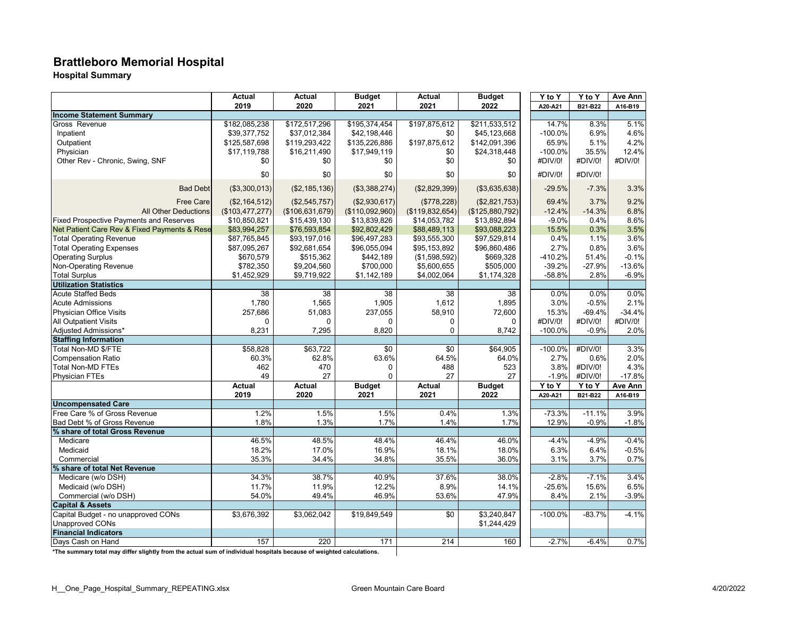# **Brattleboro Memorial Hospital**

**Hospital Summary**

|                                                | <b>Actual</b>         | <b>Actual</b>   | <b>Budget</b>               | Actual                | <b>Budget</b>         | Y to Y                | Y to Y                | Ave Ann                   |
|------------------------------------------------|-----------------------|-----------------|-----------------------------|-----------------------|-----------------------|-----------------------|-----------------------|---------------------------|
|                                                | 2019                  | 2020            | 2021                        | 2021                  | 2022                  | A20-A21               | B21-B22               | A16-B19                   |
| <b>Income Statement Summary</b>                |                       |                 |                             |                       |                       |                       |                       |                           |
| Gross Revenue                                  | \$182,085,238         | \$172,517,296   | \$195,374,454               | \$197,875,612         | \$211,533,512         | 14.7%                 | 8.3%                  | 5.1%                      |
| Inpatient                                      | \$39,377,752          | \$37.012.384    | \$42,198,446                | \$0                   | \$45,123,668          | $-100.0\%$            | 6.9%                  | 4.6%                      |
| Outpatient                                     | \$125,587,698         | \$119,293,422   | \$135,226,886               | \$197,875,612         | \$142,091,396         | 65.9%                 | 5.1%                  | 4.2%                      |
| Physician                                      | \$17,119,788          | \$16,211,490    | \$17,949,119                | \$0                   | \$24,318,448          | $-100.0%$             | 35.5%                 | 12.4%                     |
| Other Rev - Chronic, Swing, SNF                | \$0                   | \$0             | \$0                         | \$0                   | \$0                   | #DIV/0!               | #DIV/0!               | #DIV/0!                   |
|                                                |                       |                 |                             |                       |                       |                       |                       |                           |
|                                                | \$0                   | \$0             | \$0                         | \$0                   | \$0                   | #DIV/0!               | #DIV/0!               |                           |
| <b>Bad Debt</b>                                | (\$3,300,013)         | (\$2, 185, 136) | (\$3,388,274)               | (\$2,829,399)         | (\$3,635,638)         | $-29.5%$              | $-7.3%$               | 3.3%                      |
| <b>Free Care</b>                               | (\$2,164,512)         | (\$2,545,757)   | (\$2,930,617)               | (\$778,228)           | (\$2,821,753)         | 69.4%                 | 3.7%                  | 9.2%                      |
| <b>All Other Deductions</b>                    | (\$103,477,277)       | (\$106,631,679) | (\$110,092,960)             | (\$119,832,654)       | (\$125,880,792)       | $-12.4%$              | $-14.3%$              | 6.8%                      |
| <b>Fixed Prospective Payments and Reserves</b> | \$10,850,821          | \$15,439,130    | \$13,839,826                | \$14,053,782          | \$13,892,894          | $-9.0%$               | 0.4%                  | 8.6%                      |
| Net Patient Care Rev & Fixed Payments & Rese   | \$83,994,257          | \$76,593,854    | \$92,802,429                | \$88,489,113          | \$93,088,223          | 15.5%                 | 0.3%                  | 3.5%                      |
| <b>Total Operating Revenue</b>                 | \$87,765,845          | \$93,197,016    | \$96,497,283                | \$93,555,300          | \$97,529,814          | 0.4%                  | 1.1%                  | 3.6%                      |
| <b>Total Operating Expenses</b>                | \$87,095,267          | \$92,681,654    | \$96,055,094                | \$95,153,892          | \$96,860,486          | 2.7%                  | 0.8%                  | 3.6%                      |
| <b>Operating Surplus</b>                       | \$670,579             | \$515,362       | \$442,189                   | (\$1,598,592)         | \$669,328             | -410.2%               | 51.4%                 | $-0.1%$                   |
| Non-Operating Revenue                          | \$782,350             | \$9,204,560     | \$700,000                   | \$5,600,655           | \$505,000             | $-39.2%$              | $-27.9%$              | $-13.6%$                  |
| <b>Total Surplus</b>                           | \$1,452,929           | \$9,719,922     | \$1,142,189                 | \$4,002,064           | \$1,174,328           | $-58.8%$              | 2.8%                  | $-6.9%$                   |
| <b>Utilization Statistics</b>                  |                       |                 |                             |                       |                       |                       |                       |                           |
| <b>Acute Staffed Beds</b>                      | $\overline{38}$       | 38              | 38                          | 38                    | 38                    | 0.0%                  | 0.0%                  | 0.0%                      |
| <b>Acute Admissions</b>                        | 1,780                 | 1,565           | 1,905                       | 1,612                 | 1,895                 | 3.0%                  | $-0.5%$               | 2.1%                      |
| <b>Physician Office Visits</b>                 | 257,686               | 51,083          | 237,055                     | 58,910                | 72,600                | 15.3%                 | $-69.4%$              | $-34.4%$                  |
| <b>All Outpatient Visits</b>                   | $\Omega$              | $\Omega$        | 0                           | 0                     | $\Omega$              | #DIV/0!               | #DIV/0!               | #DIV/0!                   |
| Adjusted Admissions*                           | 8,231                 | 7,295           | 8,820                       | 0                     | 8,742                 | $-100.0\%$            | $-0.9%$               | 2.0%                      |
| <b>Staffing Information</b>                    |                       |                 |                             |                       |                       |                       |                       |                           |
| Total Non-MD \$/FTE                            | \$58,828              | \$63,722        | \$0                         | $\overline{50}$       | \$64,905              | $-100.0%$             | #DIV/0!               | 3.3%                      |
| <b>Compensation Ratio</b>                      | 60.3%                 | 62.8%           | 63.6%                       | 64.5%                 | 64.0%                 | 2.7%                  | 0.6%                  | 2.0%                      |
|                                                |                       | 470             |                             |                       |                       | 3.8%                  | #DIV/0!               | 4.3%                      |
| <b>Total Non-MD FTEs</b>                       | 462                   |                 | $\mathbf 0$<br>$\mathbf{0}$ | 488                   | 523                   |                       |                       |                           |
| <b>Physician FTEs</b>                          | 49                    | 27              |                             | 27                    | 27                    | $-1.9%$               | #DIV/0!               | $-17.8%$                  |
|                                                | <b>Actual</b><br>2019 | Actual<br>2020  | <b>Budget</b><br>2021       | <b>Actual</b><br>2021 | <b>Budget</b><br>2022 | $Y$ to $Y$<br>A20-A21 | $Y$ to $Y$<br>B21-B22 | <b>Ave Ann</b><br>A16-B19 |
| <b>Uncompensated Care</b>                      |                       |                 |                             |                       |                       |                       |                       |                           |
| Free Care % of Gross Revenue                   | 1.2%                  | 1.5%            | 1.5%                        | 0.4%                  | 1.3%                  | $-73.3%$              | $-11.1%$              | 3.9%                      |
| Bad Debt % of Gross Revenue                    | 1.8%                  | 1.3%            | 1.7%                        | 1.4%                  | 1.7%                  | 12.9%                 | $-0.9%$               | $-1.8%$                   |
| % share of total Gross Revenue                 |                       |                 |                             |                       |                       |                       |                       |                           |
| Medicare                                       | 46.5%                 | 48.5%           | 48.4%                       | 46.4%                 | 46.0%                 | $-4.4%$               | $-4.9%$               | $-0.4%$                   |
| Medicaid                                       | 18.2%                 | 17.0%           | 16.9%                       | 18.1%                 | 18.0%                 | 6.3%                  | 6.4%                  | $-0.5%$                   |
| Commercial                                     | 35.3%                 | 34.4%           | 34.8%                       | 35.5%                 | 36.0%                 | 3.1%                  | 3.7%                  | 0.7%                      |
| % share of total Net Revenue                   |                       |                 |                             |                       |                       |                       |                       |                           |
| Medicare (w/o DSH)                             | 34.3%                 | 38.7%           | 40.9%                       | 37.6%                 | 38.0%                 | $-2.8%$               | $-7.1%$               | 3.4%                      |
| Medicaid (w/o DSH)                             | 11.7%                 | 11.9%           | 12.2%                       | 8.9%                  | 14.1%                 | $-25.6%$              | 15.6%                 | 6.5%                      |
| Commercial (w/o DSH)                           | 54.0%                 | 49.4%           | 46.9%                       | 53.6%                 | 47.9%                 | 8.4%                  | 2.1%                  | $-3.9%$                   |
| <b>Capital &amp; Assets</b>                    |                       |                 |                             |                       |                       |                       |                       |                           |
| Capital Budget - no unapproved CONs            | \$3,676,392           | \$3,062,042     | \$19,849,549                | $\overline{50}$       | \$3,240,847           | $-100.0%$             | $-83.7%$              | $-4.1%$                   |
| <b>Unapproved CONs</b>                         |                       |                 |                             |                       | \$1,244,429           |                       |                       |                           |
| <b>Financial Indicators</b>                    |                       |                 |                             |                       |                       |                       |                       |                           |
| Days Cash on Hand                              | 157                   | 220             | 171                         | 214                   | 160                   | $-2.7%$               | $-6.4%$               | 0.7%                      |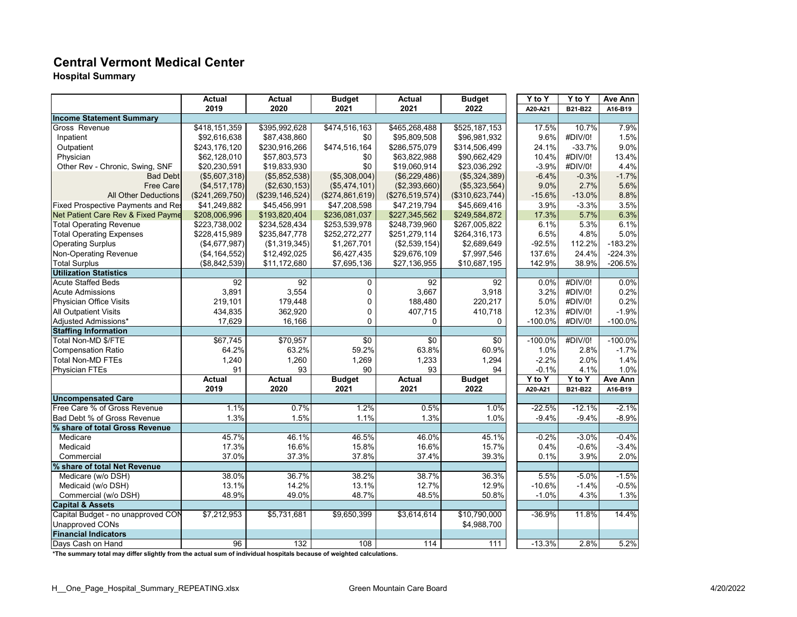#### **Central Vermont Medical Center**

**Hospital Summary**

|                                    | Actual            | Actual            | <b>Budget</b>   | Actual          | <b>Budget</b>   | Y to Y     | Y to Y   | Ave Ann   |
|------------------------------------|-------------------|-------------------|-----------------|-----------------|-----------------|------------|----------|-----------|
|                                    | 2019              | 2020              | 2021            | 2021            | 2022            | A20-A21    | B21-B22  | A16-B19   |
| <b>Income Statement Summary</b>    |                   |                   |                 |                 |                 |            |          |           |
| Gross Revenue                      | \$418,151,359     | \$395,992,628     | \$474,516,163   | \$465,268,488   | \$525,187,153   | 17.5%      | 10.7%    | 7.9%      |
| Inpatient                          | \$92,616,638      | \$87,438,860      | \$0             | \$95,809,508    | \$96,981,932    | 9.6%       | #DIV/0!  | 1.5%      |
| Outpatient                         | \$243,176,120     | \$230,916,266     | \$474,516,164   | \$286,575,079   | \$314,506,499   | 24.1%      | $-33.7%$ | 9.0%      |
| Physician                          | \$62,128,010      | \$57,803,573      | \$0             | \$63,822,988    | \$90,662,429    | 10.4%      | #DIV/0!  | 13.4%     |
| Other Rev - Chronic, Swing, SNF    | \$20,230,591      | \$19,833,930      | \$0             | \$19,060,914    | \$23,036,292    | $-3.9%$    | #DIV/0!  | 4.4%      |
| <b>Bad Debt</b>                    | (\$5,607,318)     | (\$5,852,538)     | (\$5,308,004)   | (\$6,229,486)   | (\$5,324,389)   | $-6.4%$    | $-0.3%$  | $-1.7%$   |
| <b>Free Care</b>                   | (\$4,517,178)     | (\$2,630,153)     | (\$5,474,101)   | (\$2,393,660)   | (\$5,323,564)   | 9.0%       | 2.7%     | 5.6%      |
| <b>All Other Deductions</b>        | (\$241, 269, 750) | (\$239, 146, 524) | (\$274,861,619) | (\$276,519,574) | (\$310,623,744) | $-15.6%$   | $-13.0%$ | 8.8%      |
| Fixed Prospective Payments and Res | \$41,249,882      | \$45,456,991      | \$47,208,598    | \$47,219,794    | \$45,669,416    | 3.9%       | $-3.3%$  | 3.5%      |
| Net Patient Care Rev & Fixed Payme | \$208,006,996     | \$193,820,404     | \$236,081,037   | \$227,345,562   | \$249,584,872   | 17.3%      | 5.7%     | 6.3%      |
| <b>Total Operating Revenue</b>     | \$223,738,002     | \$234,528,434     | \$253,539,978   | \$248,739,960   | \$267,005,822   | 6.1%       | 5.3%     | 6.1%      |
| <b>Total Operating Expenses</b>    | \$228,415,989     | \$235,847,778     | \$252,272,277   | \$251,279,114   | \$264,316,173   | 6.5%       | 4.8%     | 5.0%      |
| <b>Operating Surplus</b>           | (\$4,677,987)     | (\$1,319,345)     | \$1,267,701     | (\$2,539,154)   | \$2,689,649     | $-92.5%$   | 112.2%   | $-183.2%$ |
| <b>Non-Operating Revenue</b>       | (\$4,164,552)     | \$12,492,025      | \$6,427,435     | \$29,676,109    | \$7,997,546     | 137.6%     | 24.4%    | $-224.3%$ |
| <b>Total Surplus</b>               | (\$8,842,539)     | \$11,172,680      | \$7,695,136     | \$27,136,955    | \$10,687,195    | 142.9%     | 38.9%    | $-206.5%$ |
| <b>Utilization Statistics</b>      |                   |                   |                 |                 |                 |            |          |           |
| <b>Acute Staffed Beds</b>          | 92                | 92                | 0               | 92              | 92              | $0.0\%$    | #DIV/0!  | 0.0%      |
| <b>Acute Admissions</b>            | 3,891             | 3,554             | 0               | 3,667           | 3,918           | 3.2%       | #DIV/0!  | 0.2%      |
| Physician Office Visits            | 219,101           | 179,448           | 0               | 188,480         | 220,217         | 5.0%       | #DIV/0!  | 0.2%      |
| <b>All Outpatient Visits</b>       | 434,835           | 362,920           | 0               | 407,715         | 410,718         | 12.3%      | #DIV/0!  | $-1.9%$   |
| Adjusted Admissions*               | 17,629            | 16,166            | 0               | 0               | 0               | $-100.0\%$ | #DIV/0!  | $-100.0%$ |
| <b>Staffing Information</b>        |                   |                   |                 |                 |                 |            |          |           |
| Total Non-MD \$/FTE                | \$67,745          | \$70,957          | \$0             | $\overline{30}$ | $\sqrt{6}$      | $-100.0%$  | #DIV/0!  | $-100.0%$ |
| <b>Compensation Ratio</b>          | 64.2%             | 63.2%             | 59.2%           | 63.8%           | 60.9%           | 1.0%       | 2.8%     | $-1.7%$   |
| <b>Total Non-MD FTEs</b>           | 1,240             | 1,260             | 1,269           | 1,233           | 1,294           | $-2.2%$    | 2.0%     | 1.4%      |
| <b>Physician FTEs</b>              | 91                | 93                | 90              | 93              | 94              | $-0.1%$    | 4.1%     | 1.0%      |
|                                    | <b>Actual</b>     | <b>Actual</b>     | <b>Budget</b>   | <b>Actual</b>   | <b>Budget</b>   | $Y$ to $Y$ | Y to Y   | Ave Ann   |
|                                    | 2019              | 2020              | 2021            | 2021            | 2022            | A20-A21    | B21-B22  | A16-B19   |
| <b>Uncompensated Care</b>          |                   |                   |                 |                 |                 |            |          |           |
| Free Care % of Gross Revenue       | 1.1%              | 0.7%              | 1.2%            | 0.5%            | 1.0%            | $-22.5%$   | $-12.1%$ | $-2.1%$   |
| Bad Debt % of Gross Revenue        | 1.3%              | 1.5%              | 1.1%            | 1.3%            | 1.0%            | $-9.4%$    | $-9.4%$  | $-8.9%$   |
| % share of total Gross Revenue     |                   |                   |                 |                 |                 |            |          |           |
| Medicare                           | 45.7%             | 46.1%             | 46.5%           | 46.0%           | 45.1%           | $-0.2%$    | $-3.0%$  | $-0.4%$   |
| Medicaid                           | 17.3%             | 16.6%             | 15.8%           | 16.6%           | 15.7%           | 0.4%       | $-0.6%$  | $-3.4%$   |
| Commercial                         | 37.0%             | 37.3%             | 37.8%           | 37.4%           | 39.3%           | 0.1%       | 3.9%     | 2.0%      |
| % share of total Net Revenue       |                   |                   |                 |                 |                 |            |          |           |
| Medicare (w/o DSH)                 | 38.0%             | 36.7%             | 38.2%           | 38.7%           | 36.3%           | 5.5%       | $-5.0%$  | $-1.5%$   |
| Medicaid (w/o DSH)                 | 13.1%             | 14.2%             | 13.1%           | 12.7%           | 12.9%           | $-10.6%$   | $-1.4%$  | $-0.5%$   |
| Commercial (w/o DSH)               | 48.9%             | 49.0%             | 48.7%           | 48.5%           | 50.8%           | $-1.0%$    | 4.3%     | 1.3%      |
| <b>Capital &amp; Assets</b>        |                   |                   |                 |                 |                 |            |          |           |
| Capital Budget - no unapproved CON | \$7,212,953       | \$5,731,681       | \$9,650,399     | \$3,614,614     | \$10,790,000    | $-36.9%$   | 11.8%    | 14.4%     |
| <b>Unapproved CONs</b>             |                   |                   |                 |                 | \$4,988,700     |            |          |           |
| <b>Financial Indicators</b>        |                   |                   |                 |                 |                 |            |          |           |
| Days Cash on Hand                  | 96                | 132               | 108             | 114             | 111             | $-13.3%$   | 2.8%     | 5.2%      |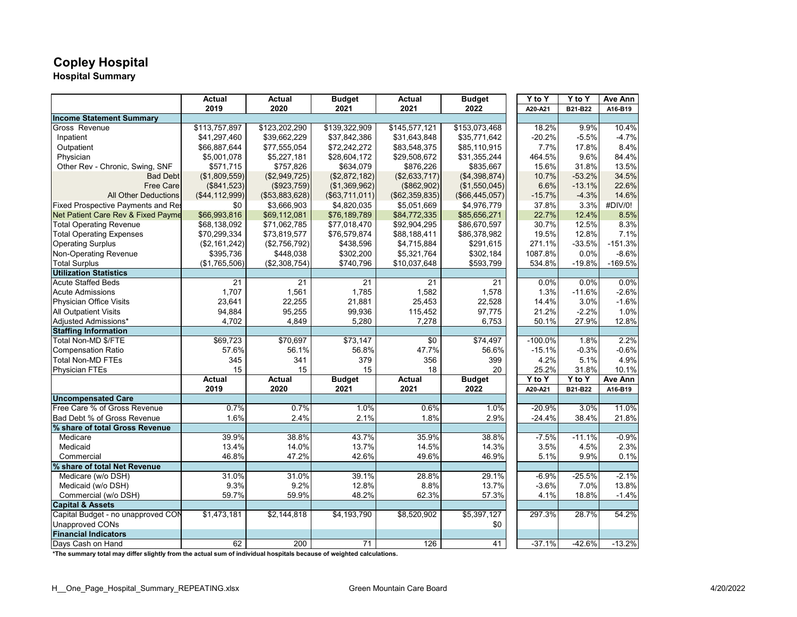# **Copley Hospital**

**Hospital Summary**

|                                    | <b>Actual</b>    | <b>Actual</b>  | <b>Budget</b>   | <b>Actual</b>   | <b>Budget</b>  | Y to Y    | Y to Y   | Ave Ann   |
|------------------------------------|------------------|----------------|-----------------|-----------------|----------------|-----------|----------|-----------|
|                                    | 2019             | 2020           | 2021            | 2021            | 2022           | A20-A21   | B21-B22  | A16-B19   |
| <b>Income Statement Summary</b>    |                  |                |                 |                 |                |           |          |           |
| Gross Revenue                      | \$113,757,897    | \$123,202,290  | \$139,322,909   | \$145,577,121   | \$153,073,468  | 18.2%     | 9.9%     | 10.4%     |
| Inpatient                          | \$41,297,460     | \$39,662,229   | \$37,842,386    | \$31,643,848    | \$35,771,642   | $-20.2%$  | $-5.5%$  | $-4.7%$   |
| Outpatient                         | \$66,887,644     | \$77,555,054   | \$72,242,272    | \$83,548,375    | \$85,110,915   | 7.7%      | 17.8%    | 8.4%      |
| Physician                          | \$5,001,078      | \$5,227,181    | \$28,604,172    | \$29,508,672    | \$31,355,244   | 464.5%    | 9.6%     | 84.4%     |
| Other Rev - Chronic, Swing, SNF    | \$571,715        | \$757,826      | \$634,079       | \$876,226       | \$835,667      | 15.6%     | 31.8%    | 13.5%     |
| <b>Bad Debt</b>                    | (\$1,809,559)    | (\$2,949,725)  | (\$2,872,182)   | (\$2,633,717)   | (\$4,398,874)  | 10.7%     | $-53.2%$ | 34.5%     |
| <b>Free Care</b>                   | (\$841,523)      | (\$923,759)    | (\$1,369,962)   | (\$862,902)     | (\$1,550,045)  | 6.6%      | $-13.1%$ | 22.6%     |
| <b>All Other Deductions</b>        | (\$44, 112, 999) | (\$53,883,628) | ( \$63,711,011) | (\$62,359,835)  | (\$66,445,057) | $-15.7%$  | $-4.3%$  | 14.6%     |
| Fixed Prospective Payments and Res | \$0              | \$3,666,903    | \$4,820,035     | \$5,051,669     | \$4,976,779    | 37.8%     | 3.3%     | #DIV/0!   |
| Net Patient Care Rev & Fixed Payme | \$66,993,816     | \$69,112,081   | \$76,189,789    | \$84,772,335    | \$85,656,271   | 22.7%     | 12.4%    | 8.5%      |
| <b>Total Operating Revenue</b>     | \$68,138,092     | \$71,062,785   | \$77,018,470    | \$92,904,295    | \$86,670,597   | 30.7%     | 12.5%    | 8.3%      |
| <b>Total Operating Expenses</b>    | \$70,299,334     | \$73,819,577   | \$76,579,874    | \$88,188,411    | \$86,378,982   | 19.5%     | 12.8%    | 7.1%      |
| <b>Operating Surplus</b>           | (\$2,161,242)    | (\$2,756,792)  | \$438,596       | \$4,715,884     | \$291,615      | 271.1%    | $-33.5%$ | $-151.3%$ |
| Non-Operating Revenue              | \$395,736        | \$448,038      | \$302,200       | \$5,321,764     | \$302,184      | 1087.8%   | 0.0%     | $-8.6%$   |
| <b>Total Surplus</b>               | (\$1,765,506)    | (\$2,308,754)  | \$740,796       | \$10,037,648    | \$593,799      | 534.8%    | $-19.8%$ | $-169.5%$ |
| <b>Utilization Statistics</b>      |                  |                |                 |                 |                |           |          |           |
| <b>Acute Staffed Beds</b>          | 21               | 21             | 21              | 21              | 21             | 0.0%      | 0.0%     | 0.0%      |
| <b>Acute Admissions</b>            | 1,707            | 1,561          | 1,785           | 1,582           | 1,578          | 1.3%      | $-11.6%$ | $-2.6%$   |
| Physician Office Visits            | 23,641           | 22,255         | 21,881          | 25,453          | 22,528         | 14.4%     | 3.0%     | $-1.6%$   |
| <b>All Outpatient Visits</b>       | 94,884           | 95,255         | 99,936          | 115,452         | 97,775         | 21.2%     | $-2.2%$  | 1.0%      |
| Adjusted Admissions*               | 4,702            | 4,849          | 5,280           | 7,278           | 6,753          | 50.1%     | 27.9%    | 12.8%     |
| <b>Staffing Information</b>        |                  |                |                 |                 |                |           |          |           |
| Total Non-MD \$/FTE                | \$69,723         | \$70,697       | \$73,147        | $\overline{30}$ | \$74,497       | $-100.0%$ | 1.8%     | 2.2%      |
| <b>Compensation Ratio</b>          | 57.6%            | 56.1%          | 56.8%           | 47.7%           | 56.6%          | $-15.1%$  | $-0.3%$  | $-0.6%$   |
| <b>Total Non-MD FTEs</b>           | 345              | 341            | 379             | 356             | 399            | 4.2%      | 5.1%     | 4.9%      |
| <b>Physician FTEs</b>              | 15               | 15             | 15              | 18              | 20             | 25.2%     | 31.8%    | 10.1%     |
|                                    | <b>Actual</b>    | <b>Actual</b>  | <b>Budget</b>   | <b>Actual</b>   | <b>Budget</b>  | Y to Y    | Y to Y   | Ave Ann   |
|                                    | 2019             | 2020           | 2021            | 2021            | 2022           | A20-A21   | B21-B22  | A16-B19   |
| <b>Uncompensated Care</b>          |                  |                |                 |                 |                |           |          |           |
| Free Care % of Gross Revenue       | 0.7%             | 0.7%           | 1.0%            | 0.6%            | 1.0%           | $-20.9%$  | 3.0%     | 11.0%     |
| Bad Debt % of Gross Revenue        | 1.6%             | 2.4%           | 2.1%            | 1.8%            | 2.9%           | $-24.4%$  | 38.4%    | 21.8%     |
| % share of total Gross Revenue     |                  |                |                 |                 |                |           |          |           |
| Medicare                           | 39.9%            | 38.8%          | 43.7%           | 35.9%           | 38.8%          | $-7.5%$   | $-11.1%$ | $-0.9%$   |
| Medicaid                           | 13.4%            | 14.0%          | 13.7%           | 14.5%           | 14.3%          | 3.5%      | 4.5%     | 2.3%      |
| Commercial                         | 46.8%            | 47.2%          | 42.6%           | 49.6%           | 46.9%          | 5.1%      | 9.9%     | 0.1%      |
| % share of total Net Revenue       |                  |                |                 |                 |                |           |          |           |
| Medicare (w/o DSH)                 | 31.0%            | 31.0%          | 39.1%           | 28.8%           | 29.1%          | $-6.9%$   | $-25.5%$ | $-2.1%$   |
| Medicaid (w/o DSH)                 | 9.3%             | 9.2%           | 12.8%           | 8.8%            | 13.7%          | $-3.6%$   | 7.0%     | 13.8%     |
| Commercial (w/o DSH)               | 59.7%            | 59.9%          | 48.2%           | 62.3%           | 57.3%          | 4.1%      | 18.8%    | $-1.4%$   |
| <b>Capital &amp; Assets</b>        |                  |                |                 |                 |                |           |          |           |
| Capital Budget - no unapproved CON | \$1,473,181      | \$2,144,818    | \$4,193,790     | \$8,520,902     | \$5,397,127    | 297.3%    | 28.7%    | 54.2%     |
| <b>Unapproved CONs</b>             |                  |                |                 |                 | \$0            |           |          |           |
| <b>Financial Indicators</b>        |                  |                |                 |                 |                |           |          |           |
| Davs Cash on Hand                  | 62               | 200            | $\overline{71}$ | 126             | 41             | $-37.1%$  | $-42.6%$ | $-13.2%$  |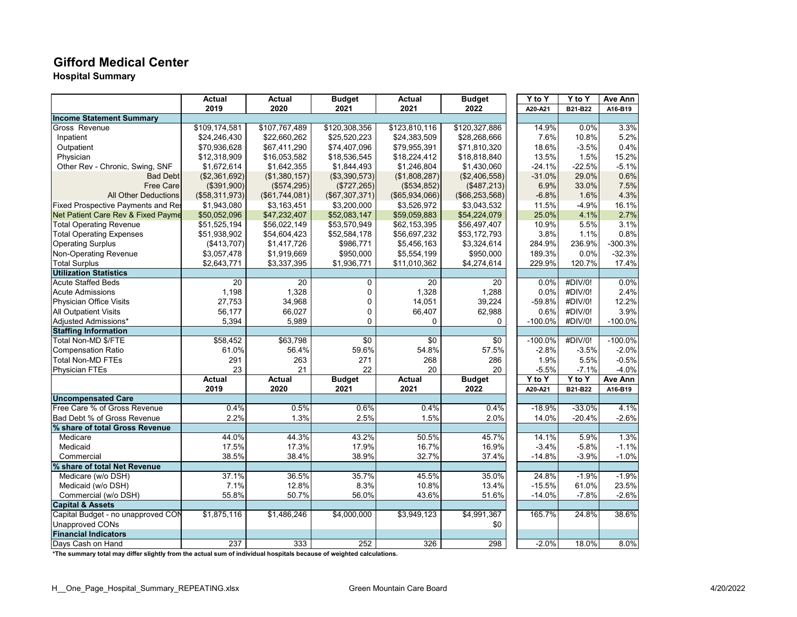#### **Gifford Medical Center**

**Hospital Summary**

|                                    | <b>Actual</b>  | Actual         | <b>Budget</b>   | Actual           | <b>Budget</b>    | Y to Y    | Y to Y   | Ave Ann    |
|------------------------------------|----------------|----------------|-----------------|------------------|------------------|-----------|----------|------------|
|                                    | 2019           | 2020           | 2021            | 2021             | 2022             | A20-A21   | B21-B22  | A16-B19    |
| <b>Income Statement Summary</b>    |                |                |                 |                  |                  |           |          |            |
| Gross Revenue                      | \$109,174,581  | \$107,767,489  | \$120,308,356   | \$123,810,116    | \$120,327,886    | 14.9%     | 0.0%     | 3.3%       |
| Inpatient                          | \$24,246,430   | \$22,660,262   | \$25,520,223    | \$24,383,509     | \$28,268,666     | 7.6%      | 10.8%    | 5.2%       |
| Outpatient                         | \$70,936,628   | \$67,411,290   | \$74,407,096    | \$79,955,391     | \$71,810,320     | 18.6%     | $-3.5%$  | 0.4%       |
| Physician                          | \$12,318,909   | \$16,053,582   | \$18,536,545    | \$18,224,412     | \$18,818,840     | 13.5%     | 1.5%     | 15.2%      |
| Other Rev - Chronic, Swing, SNF    | \$1,672,614    | \$1,642,355    | \$1,844,493     | \$1,246,804      | \$1,430,060      | $-24.1%$  | $-22.5%$ | $-5.1%$    |
| <b>Bad Debt</b>                    | (\$2,361,692)  | (\$1,380,157)  | (\$3,390,573)   | (\$1,808,287)    | (\$2,406,558)    | $-31.0%$  | 29.0%    | 0.6%       |
| <b>Free Care</b>                   | (\$391,900)    | (\$574,295)    | (\$727, 265)    | (\$534,852)      | (\$487,213)      | 6.9%      | 33.0%    | 7.5%       |
| <b>All Other Deductions</b>        | (\$58,311,973) | (\$61,744,081) | (\$67,307,371)  | (\$65,934,066)   | (\$66, 253, 568) | $-6.8%$   | 1.6%     | 4.3%       |
| Fixed Prospective Payments and Res | \$1,943,080    | \$3,163,451    | \$3,200,000     | \$3,526,972      | \$3,043,532      | 11.5%     | $-4.9%$  | 16.1%      |
| Net Patient Care Rev & Fixed Payme | \$50,052,096   | \$47,232,407   | \$52,083,147    | \$59,059,883     | \$54,224,079     | 25.0%     | 4.1%     | 2.7%       |
| <b>Total Operating Revenue</b>     | \$51,525,194   | \$56,022,149   | \$53,570,949    | \$62,153,395     | \$56,497,407     | 10.9%     | 5.5%     | 3.1%       |
| <b>Total Operating Expenses</b>    | \$51,938,902   | \$54,604,423   | \$52,584,178    | \$56,697,232     | \$53,172,793     | 3.8%      | 1.1%     | 0.8%       |
| <b>Operating Surplus</b>           | (\$413,707)    | \$1,417,726    | \$986,771       | \$5,456,163      | \$3,324,614      | 284.9%    | 236.9%   | $-300.3%$  |
| Non-Operating Revenue              | \$3,057,478    | \$1,919,669    | \$950,000       | \$5,554,199      | \$950,000        | 189.3%    | 0.0%     | $-32.3%$   |
| <b>Total Surplus</b>               | \$2,643,771    | \$3,337,395    | \$1,936,771     | \$11,010,362     | \$4,274,614      | 229.9%    | 120.7%   | 17.4%      |
| <b>Utilization Statistics</b>      |                |                |                 |                  |                  |           |          |            |
| <b>Acute Staffed Beds</b>          | 20             | 20             | $\mathbf 0$     | 20               | 20               | 0.0%      | #DIV/0!  | 0.0%       |
| <b>Acute Admissions</b>            | 1,198          | 1,328          | 0               | 1,328            | 1,288            | $0.0\%$   | #DIV/0!  | 2.4%       |
| Physician Office Visits            | 27,753         | 34,968         | 0               | 14,051           | 39,224           | $-59.8%$  | #DIV/0!  | 12.2%      |
| <b>All Outpatient Visits</b>       | 56,177         | 66,027         | 0               | 66,407           | 62,988           | 0.6%      | #DIV/0!  | 3.9%       |
| Adjusted Admissions*               | 5,394          | 5,989          | $\mathbf 0$     | 0                | 0                | $-100.0%$ | #DIV/0!  | $-100.0%$  |
| <b>Staffing Information</b>        |                |                |                 |                  |                  |           |          |            |
| Total Non-MD \$/FTE                | \$58,452       | \$63,798       | $\overline{50}$ | \$0              | $\overline{30}$  | $-100.0%$ | #DIV/0!  | $-100.0\%$ |
| <b>Compensation Ratio</b>          | 61.0%          | 56.4%          | 59.6%           | 54.8%            | 57.5%            | $-2.8%$   | $-3.5%$  | $-2.0%$    |
| <b>Total Non-MD FTEs</b>           | 291            | 263            | 271             | 268              | 286              | 1.9%      | 5.5%     | $-0.5%$    |
| <b>Physician FTEs</b>              | 23             | 21             | 22              | 20               | 20               | $-5.5%$   | $-7.1%$  | $-4.0%$    |
|                                    | <b>Actual</b>  | Actual         | <b>Budget</b>   | <b>Actual</b>    | <b>Budget</b>    | Y to Y    | Y to Y   | Ave Ann    |
|                                    | 2019           | 2020           | 2021            | 2021             | 2022             | A20-A21   | B21-B22  | A16-B19    |
| <b>Uncompensated Care</b>          |                |                |                 |                  |                  |           |          |            |
| Free Care % of Gross Revenue       | 0.4%           | 0.5%           | 0.6%            | 0.4%             | 0.4%             | $-18.9%$  | $-33.0%$ | 4.1%       |
| Bad Debt % of Gross Revenue        | 2.2%           | 1.3%           | 2.5%            | 1.5%             | 2.0%             | 14.0%     | $-20.4%$ | $-2.6%$    |
| % share of total Gross Revenue     |                |                |                 |                  |                  |           |          |            |
| Medicare                           | 44.0%          | 44.3%          | 43.2%           | 50.5%            | 45.7%            | 14.1%     | 5.9%     | 1.3%       |
| Medicaid                           | 17.5%          | 17.3%          | 17.9%           | 16.7%            | 16.9%            | $-3.4%$   | $-5.8%$  | $-1.1%$    |
| Commercial                         | 38.5%          | 38.4%          | 38.9%           | 32.7%            | 37.4%            | $-14.8%$  | $-3.9%$  | $-1.0%$    |
| % share of total Net Revenue       |                |                |                 |                  |                  |           |          |            |
| Medicare (w/o DSH)                 | 37.1%          | 36.5%          | 35.7%           | 45.5%            | 35.0%            | 24.8%     | $-1.9%$  | $-1.9%$    |
| Medicaid (w/o DSH)                 | 7.1%           | 12.8%          | 8.3%            | 10.8%            | 13.4%            | $-15.5%$  | 61.0%    | 23.5%      |
| Commercial (w/o DSH)               | 55.8%          | 50.7%          | 56.0%           | 43.6%            | 51.6%            | $-14.0%$  | $-7.8%$  | $-2.6%$    |
| <b>Capital &amp; Assets</b>        |                |                |                 |                  |                  |           |          |            |
| Capital Budget - no unapproved CON | \$1,875,116    | \$1,486,246    | \$4,000,000     | \$3,949,123      | \$4,991,367      | 165.7%    | 24.8%    | 38.6%      |
| <b>Unapproved CONs</b>             |                |                |                 |                  | \$0              |           |          |            |
| <b>Financial Indicators</b>        |                |                |                 |                  |                  |           |          |            |
| Davs Cash on Hand                  | 237            | 333            | 252             | $\overline{326}$ | 298              | $-2.0%$   | 18.0%    | 8.0%       |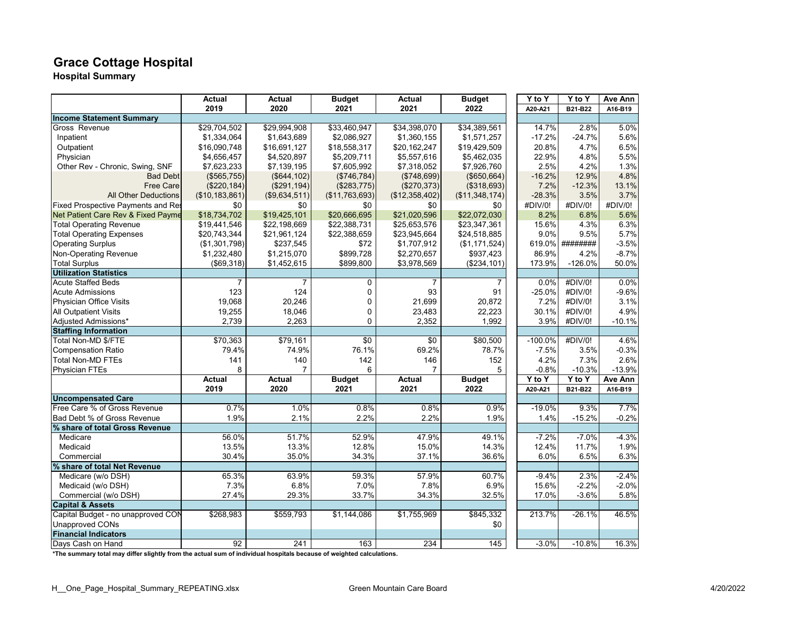# **Grace Cottage Hospital**

**Hospital Summary**

|                                    | <b>Actual</b>    | Actual        | <b>Budget</b>  | Actual         | <b>Budget</b>  | $\overline{Y}$ to Y | Y to Y    | Ave Ann  |
|------------------------------------|------------------|---------------|----------------|----------------|----------------|---------------------|-----------|----------|
|                                    | 2019             | 2020          | 2021           | 2021           | 2022           | A20-A21             | B21-B22   | A16-B19  |
| <b>Income Statement Summary</b>    |                  |               |                |                |                |                     |           |          |
| Gross Revenue                      | \$29,704,502     | \$29,994,908  | \$33,460,947   | \$34,398,070   | \$34,389,561   | 14.7%               | 2.8%      | 5.0%     |
| Inpatient                          | \$1,334,064      | \$1,643,689   | \$2,086,927    | \$1,360,155    | \$1,571,257    | $-17.2%$            | $-24.7%$  | 5.6%     |
| Outpatient                         | \$16,090,748     | \$16,691,127  | \$18,558,317   | \$20,162,247   | \$19,429,509   | 20.8%               | 4.7%      | 6.5%     |
| Physician                          | \$4,656,457      | \$4,520,897   | \$5,209,711    | \$5,557,616    | \$5,462,035    | 22.9%               | 4.8%      | 5.5%     |
| Other Rev - Chronic, Swing, SNF    | \$7,623,233      | \$7,139,195   | \$7,605,992    | \$7,318,052    | \$7,926,760    | 2.5%                | 4.2%      | 1.3%     |
| <b>Bad Debt</b>                    | (\$565,755)      | (\$644, 102)  | (\$746,784)    | (\$748,699)    | (\$650,664)    | $-16.2%$            | 12.9%     | 4.8%     |
| <b>Free Care</b>                   | (\$220, 184)     | (\$291,194)   | (\$283,775)    | (\$270,373)    | (\$318,693)    | 7.2%                | $-12.3%$  | 13.1%    |
| <b>All Other Deductions</b>        | (\$10, 183, 861) | (\$9,634,511) | (\$11,763,693) | (\$12,358,402) | (\$11,348,174) | $-28.3%$            | 3.5%      | 3.7%     |
| Fixed Prospective Payments and Res | \$0              | \$0           | \$0            | \$0            | \$0            | #DIV/0!             | #DIV/0!   | #DIV/0!  |
| Net Patient Care Rev & Fixed Payme | \$18,734,702     | \$19,425,101  | \$20,666,695   | \$21,020,596   | \$22,072,030   | 8.2%                | 6.8%      | 5.6%     |
| <b>Total Operating Revenue</b>     | \$19,441,546     | \$22,198,669  | \$22,388,731   | \$25,653,576   | \$23,347,361   | 15.6%               | 4.3%      | 6.3%     |
| <b>Total Operating Expenses</b>    | \$20,743,344     | \$21,961,124  | \$22,388,659   | \$23,945,664   | \$24,518,885   | 9.0%                | 9.5%      | 5.7%     |
| <b>Operating Surplus</b>           | (\$1,301,798)    | \$237,545     | \$72           | \$1,707,912    | (\$1,171,524)  | 619.0%              | ########  | $-3.5%$  |
| <b>Non-Operating Revenue</b>       | \$1,232,480      | \$1,215,070   | \$899,728      | \$2,270,657    | \$937,423      | 86.9%               | 4.2%      | $-8.7%$  |
| <b>Total Surplus</b>               | (\$69,318)       | \$1,452,615   | \$899,800      | \$3,978,569    | (\$234, 101)   | 173.9%              | $-126.0%$ | 50.0%    |
| <b>Utilization Statistics</b>      |                  |               |                |                |                |                     |           |          |
| <b>Acute Staffed Beds</b>          | 7                | 7             | 0              | 7              | 7              | 0.0%                | #DIV/0!   | 0.0%     |
| <b>Acute Admissions</b>            | 123              | 124           | 0              | 93             | 91             | $-25.0%$            | #DIV/0!   | $-9.6%$  |
| Physician Office Visits            | 19,068           | 20,246        | $\mathbf 0$    | 21,699         | 20,872         | 7.2%                | #DIV/0!   | 3.1%     |
| <b>All Outpatient Visits</b>       | 19,255           | 18,046        | $\mathbf 0$    | 23,483         | 22,223         | 30.1%               | #DIV/0!   | 4.9%     |
| Adjusted Admissions*               | 2,739            | 2,263         | 0              | 2,352          | 1,992          | 3.9%                | #DIV/0!   | $-10.1%$ |
| <b>Staffing Information</b>        |                  |               |                |                |                |                     |           |          |
| Total Non-MD \$/FTE                | \$70,363         | \$79,161      | \$0            | \$0            | \$80,500       | $-100.0%$           | #DIV/0!   | 4.6%     |
| <b>Compensation Ratio</b>          | 79.4%            | 74.9%         | 76.1%          | 69.2%          | 78.7%          | $-7.5%$             | 3.5%      | $-0.3%$  |
| <b>Total Non-MD FTEs</b>           | 141              | 140           | 142            | 146            | 152            | 4.2%                | 7.3%      | 2.6%     |
| <b>Physician FTEs</b>              | 8                | 7             | 6              | $\overline{7}$ | 5              | $-0.8%$             | $-10.3%$  | $-13.9%$ |
|                                    | <b>Actual</b>    | <b>Actual</b> | <b>Budget</b>  | <b>Actual</b>  | <b>Budget</b>  | $Y$ to $Y$          | Y to Y    | Ave Ann  |
|                                    | 2019             | 2020          | 2021           | 2021           | 2022           | A20-A21             | B21-B22   | A16-B19  |
| <b>Uncompensated Care</b>          |                  |               |                |                |                |                     |           |          |
| Free Care % of Gross Revenue       | 0.7%             | 1.0%          | 0.8%           | 0.8%           | 0.9%           | $-19.0%$            | 9.3%      | 7.7%     |
| Bad Debt % of Gross Revenue        | 1.9%             | 2.1%          | 2.2%           | 2.2%           | 1.9%           | 1.4%                | $-15.2%$  | $-0.2%$  |
| % share of total Gross Revenue     |                  |               |                |                |                |                     |           |          |
| Medicare                           | 56.0%            | 51.7%         | 52.9%          | 47.9%          | 49.1%          | $-7.2%$             | $-7.0%$   | $-4.3%$  |
| Medicaid                           | 13.5%            | 13.3%         | 12.8%          | 15.0%          | 14.3%          | 12.4%               | 11.7%     | 1.9%     |
| Commercial                         | 30.4%            | 35.0%         | 34.3%          | 37.1%          | 36.6%          | 6.0%                | 6.5%      | 6.3%     |
| % share of total Net Revenue       |                  |               |                |                |                |                     |           |          |
| Medicare (w/o DSH)                 | 65.3%            | 63.9%         | 59.3%          | 57.9%          | 60.7%          | $-9.4%$             | 2.3%      | $-2.4%$  |
| Medicaid (w/o DSH)                 | 7.3%             | 6.8%          | 7.0%           | 7.8%           | 6.9%           | 15.6%               | $-2.2%$   | $-2.0%$  |
| Commercial (w/o DSH)               | 27.4%            | 29.3%         | 33.7%          | 34.3%          | 32.5%          | 17.0%               | $-3.6%$   | 5.8%     |
| <b>Capital &amp; Assets</b>        |                  |               |                |                |                |                     |           |          |
| Capital Budget - no unapproved CON | \$268,983        | \$559,793     | \$1,144,086    | \$1,755,969    | \$845,332      | 213.7%              | $-26.1%$  | 46.5%    |
| <b>Unapproved CONs</b>             |                  |               |                |                | \$0            |                     |           |          |
| <b>Financial Indicators</b>        |                  |               |                |                |                |                     |           |          |
| Davs Cash on Hand                  | $\overline{92}$  | 241           | 163            | 234            | 145            | $-3.0%$             | $-10.8%$  | 16.3%    |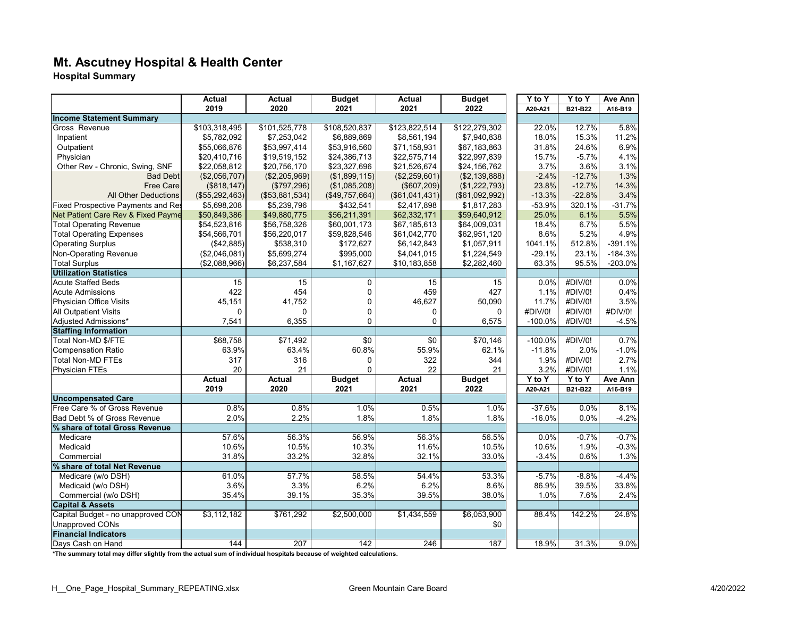# **Mt. Ascutney Hospital & Health Center**

**Hospital Summary**

|                                    | Actual         | <b>Actual</b>  | <b>Budget</b>    | <b>Actual</b>    | <b>Budget</b>  | $\overline{Y}$ to Y | Y to Y   | Ave Ann   |
|------------------------------------|----------------|----------------|------------------|------------------|----------------|---------------------|----------|-----------|
|                                    | 2019           | 2020           | 2021             | 2021             | 2022           | A20-A21             | B21-B22  | A16-B19   |
| <b>Income Statement Summary</b>    |                |                |                  |                  |                |                     |          |           |
| Gross Revenue                      | \$103,318,495  | \$101,525,778  | \$108,520,837    | \$123,822,514    | \$122,279,302  | 22.0%               | 12.7%    | 5.8%      |
| Inpatient                          | \$5,782,092    | \$7,253,042    | \$6,889,869      | \$8,561,194      | \$7,940,838    | 18.0%               | 15.3%    | 11.2%     |
| Outpatient                         | \$55,066,876   | \$53,997,414   | \$53,916,560     | \$71,158,931     | \$67,183,863   | 31.8%               | 24.6%    | 6.9%      |
| Physician                          | \$20,410,716   | \$19,519,152   | \$24,386,713     | \$22,575,714     | \$22,997,839   | 15.7%               | $-5.7%$  | 4.1%      |
| Other Rev - Chronic, Swing, SNF    | \$22,058,812   | \$20,756,170   | \$23,327,696     | \$21,526,674     | \$24,156,762   | 3.7%                | 3.6%     | 3.1%      |
| <b>Bad Debt</b>                    | (\$2,056,707)  | (\$2,205,969)  | (\$1,899,115)    | (\$2,259,601)    | (\$2,139,888)  | $-2.4%$             | $-12.7%$ | 1.3%      |
| <b>Free Care</b>                   | (\$818, 147)   | (\$797,296)    | (\$1,085,208)    | (\$607,209)      | (\$1,222,793)  | 23.8%               | $-12.7%$ | 14.3%     |
| <b>All Other Deductions</b>        | (\$55,292,463) | (\$53,881,534) | (\$49,757,664)   | (\$61,041,431)   | (\$61,092,992) | $-13.3%$            | $-22.8%$ | 3.4%      |
| Fixed Prospective Payments and Res | \$5,698,208    | \$5,239,796    | \$432,541        | \$2,417,898      | \$1,817,283    | $-53.9%$            | 320.1%   | $-31.7%$  |
| Net Patient Care Rev & Fixed Payme | \$50,849,386   | \$49,880,775   | \$56,211,391     | \$62,332,171     | \$59,640,912   | 25.0%               | 6.1%     | 5.5%      |
| <b>Total Operating Revenue</b>     | \$54,523,816   | \$56,758,326   | \$60,001,173     | \$67,185,613     | \$64,009,031   | 18.4%               | 6.7%     | 5.5%      |
| <b>Total Operating Expenses</b>    | \$54,566,701   | \$56,220,017   | \$59,828,546     | \$61,042,770     | \$62,951,120   | 8.6%                | 5.2%     | 4.9%      |
| <b>Operating Surplus</b>           | (\$42,885)     | \$538,310      | \$172,627        | \$6,142,843      | \$1,057,911    | 1041.1%             | 512.8%   | $-391.1%$ |
| Non-Operating Revenue              | (\$2,046,081)  | \$5,699,274    | \$995,000        | \$4,041,015      | \$1,224,549    | $-29.1%$            | 23.1%    | $-184.3%$ |
| <b>Total Surplus</b>               | (\$2,088,966)  | \$6,237,584    | \$1,167,627      | \$10,183,858     | \$2,282,460    | 63.3%               | 95.5%    | $-203.0%$ |
| <b>Utilization Statistics</b>      |                |                |                  |                  |                |                     |          |           |
| <b>Acute Staffed Beds</b>          | 15             | 15             | 0                | 15               | 15             | 0.0%                | #DIV/0!  | 0.0%      |
| <b>Acute Admissions</b>            | 422            | 454            | 0                | 459              | 427            | 1.1%                | #DIV/0!  | 0.4%      |
| Physician Office Visits            | 45,151         | 41,752         | 0                | 46,627           | 50,090         | 11.7%               | #DIV/0!  | 3.5%      |
| <b>All Outpatient Visits</b>       | $\overline{0}$ | $\Omega$       | 0                | $\mathbf 0$      | $\Omega$       | #DIV/0!             | #DIV/0!  | #DIV/0!   |
| Adjusted Admissions*               | 7,541          | 6,355          | 0                | $\mathbf{0}$     | 6,575          | $-100.0%$           | #DIV/0!  | $-4.5%$   |
| <b>Staffing Information</b>        |                |                |                  |                  |                |                     |          |           |
| Total Non-MD \$/FTE                | \$68,758       | \$71,492       | $\sqrt{6}$       | $\sqrt{6}$       | \$70,146       | $-100.0%$           | #DIV/0!  | 0.7%      |
| <b>Compensation Ratio</b>          | 63.9%          | 63.4%          | 60.8%            | 55.9%            | 62.1%          | $-11.8%$            | 2.0%     | $-1.0%$   |
| <b>Total Non-MD FTEs</b>           | 317            | 316            | 0                | 322              | 344            | 1.9%                | #DIV/0!  | 2.7%      |
| <b>Physician FTEs</b>              | 20             | 21             | $\mathbf 0$      | 22               | 21             | 3.2%                | #DIV/0!  | 1.1%      |
|                                    | <b>Actual</b>  | <b>Actual</b>  | <b>Budget</b>    | <b>Actual</b>    | <b>Budget</b>  | Y to Y              | Y to Y   | Ave Ann   |
|                                    | 2019           | 2020           | 2021             | 2021             | 2022           | A20-A21             | B21-B22  | A16-B19   |
| <b>Uncompensated Care</b>          |                |                |                  |                  |                |                     |          |           |
| Free Care % of Gross Revenue       | 0.8%           | 0.8%           | 1.0%             | 0.5%             | 1.0%           | $-37.6%$            | 0.0%     | 8.1%      |
| Bad Debt % of Gross Revenue        | 2.0%           | 2.2%           | 1.8%             | 1.8%             | 1.8%           | $-16.0%$            | 0.0%     | $-4.2%$   |
| % share of total Gross Revenue     |                |                |                  |                  |                |                     |          |           |
| Medicare                           | 57.6%          | 56.3%          | 56.9%            | 56.3%            | 56.5%          | 0.0%                | $-0.7%$  | $-0.7%$   |
| Medicaid                           | 10.6%          | 10.5%          | 10.3%            | 11.6%            | 10.5%          | 10.6%               | 1.9%     | $-0.3%$   |
| Commercial                         | 31.8%          | 33.2%          | 32.8%            | 32.1%            | 33.0%          | $-3.4%$             | 0.6%     | 1.3%      |
| % share of total Net Revenue       |                |                |                  |                  |                |                     |          |           |
| Medicare (w/o DSH)                 | 61.0%          | 57.7%          | 58.5%            | 54.4%            | 53.3%          | $-5.7%$             | $-8.8%$  | $-4.4%$   |
| Medicaid (w/o DSH)                 | 3.6%           | 3.3%           | 6.2%             | 6.2%             | 8.6%           | 86.9%               | 39.5%    | 33.8%     |
| Commercial (w/o DSH)               | 35.4%          | 39.1%          | 35.3%            | 39.5%            | 38.0%          | 1.0%                | 7.6%     | 2.4%      |
| <b>Capital &amp; Assets</b>        |                |                |                  |                  |                |                     |          |           |
| Capital Budget - no unapproved CON | \$3,112,182    | \$761,292      | \$2,500,000      | \$1,434,559      | \$6,053,900    | 88.4%               | 142.2%   | 24.8%     |
| <b>Unapproved CONs</b>             |                |                |                  |                  | \$0            |                     |          |           |
| <b>Financial Indicators</b>        |                |                |                  |                  |                |                     |          |           |
| Davs Cash on Hand                  | 144            | 207            | $\overline{142}$ | $\overline{246}$ | 187            | 18.9%               | 31.3%    | 9.0%      |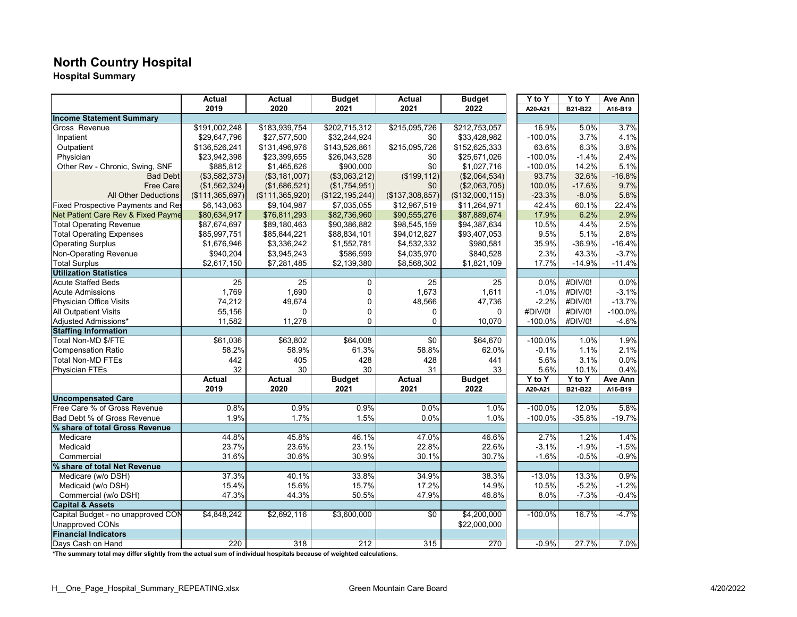# **North Country Hospital**

**Hospital Summary**

|                                    | Actual           | Actual          | <b>Budget</b>     | Actual          | <b>Budget</b>    | $\overline{Y}$ to Y              | Y to Y     | Ave Ann   |
|------------------------------------|------------------|-----------------|-------------------|-----------------|------------------|----------------------------------|------------|-----------|
|                                    | 2019             | 2020            | 2021              | 2021            | 2022             | A20-A21                          | B21-B22    | A16-B19   |
| <b>Income Statement Summary</b>    |                  |                 |                   |                 |                  |                                  |            |           |
| Gross Revenue                      | \$191,002,248    | \$183,939,754   | \$202,715,312     | \$215,095,726   | \$212,753,057    | 16.9%                            | 5.0%       | 3.7%      |
| Inpatient                          | \$29,647,796     | \$27,577,500    | \$32,244,924      | \$0             | \$33,428,982     | $-100.0%$                        | 3.7%       | 4.1%      |
| Outpatient                         | \$136,526,241    | \$131,496,976   | \$143,526,861     | \$215,095,726   | \$152,625,333    | 63.6%                            | 6.3%       | 3.8%      |
| Physician                          | \$23,942,398     | \$23,399,655    | \$26,043,528      | \$0             | \$25,671,026     | $-100.0%$                        | $-1.4%$    | 2.4%      |
| Other Rev - Chronic, Swing, SNF    | \$885,812        | \$1,465,626     | \$900,000         | \$0             | \$1,027,716      | $-100.0%$                        | 14.2%      | 5.1%      |
| <b>Bad Debt</b>                    | (\$3,582,373)    | (\$3,181,007)   | (\$3,063,212)     | (\$199, 112)    | (\$2,064,534)    | 93.7%                            | 32.6%      | $-16.8%$  |
| <b>Free Care</b>                   | (\$1,562,324)    | (\$1,686,521)   | (\$1,754,951)     | \$0             | (\$2,063,705)    | 100.0%                           | $-17.6%$   | 9.7%      |
| <b>All Other Deductions</b>        | (\$111,365,697)  | (\$111,365,920) | (\$122, 195, 244) | (\$137,308,857) | (\$132,000,115)  | $-23.3%$                         | $-8.0%$    | 5.8%      |
| Fixed Prospective Payments and Res | \$6,143,063      | \$9,104,987     | \$7,035,055       | \$12,967,519    | \$11,264,971     | 42.4%                            | 60.1%      | 22.4%     |
| Net Patient Care Rev & Fixed Payme | \$80,634,917     | \$76,811,293    | \$82,736,960      | \$90,555,276    | \$87,889,674     | 17.9%                            | 6.2%       | 2.9%      |
| <b>Total Operating Revenue</b>     | \$87,674,697     | \$89,180,463    | \$90,386,882      | \$98,545,159    | \$94,387,634     | 10.5%                            | 4.4%       | 2.5%      |
| <b>Total Operating Expenses</b>    | \$85,997,751     | \$85,844,221    | \$88,834,101      | \$94,012,827    | \$93,407,053     | 9.5%                             | 5.1%       | 2.8%      |
| <b>Operating Surplus</b>           | \$1,676,946      | \$3,336,242     | \$1,552,781       | \$4,532,332     | \$980,581        | 35.9%                            | $-36.9%$   | $-16.4%$  |
| <b>Non-Operating Revenue</b>       | \$940,204        | \$3,945,243     | \$586,599         | \$4,035,970     | \$840,528        | 2.3%                             | 43.3%      | $-3.7%$   |
| <b>Total Surplus</b>               | \$2,617,150      | \$7,281,485     | \$2,139,380       | \$8,568,302     | \$1,821,109      | 17.7%                            | $-14.9%$   | $-11.4%$  |
| <b>Utilization Statistics</b>      |                  |                 |                   |                 |                  |                                  |            |           |
| <b>Acute Staffed Beds</b>          | 25               | 25              | 0                 | 25              | 25               | 0.0%                             | #DIV/0!    | 0.0%      |
| <b>Acute Admissions</b>            | 1,769            | 1,690           | 0                 | 1,673           | 1,611            | $-1.0%$                          | #DIV/0!    | $-3.1%$   |
| Physician Office Visits            | 74,212           | 49.674          | 0                 | 48,566          | 47,736           | $-2.2%$                          | #DIV/0!    | $-13.7%$  |
| <b>All Outpatient Visits</b>       | 55,156           | $\Omega$        | $\mathbf 0$       | 0               | 0                | #DIV/0!                          | #DIV/0!    | $-100.0%$ |
| Adjusted Admissions*               | 11,582           | 11,278          | 0                 | 0               | 10,070           | $-100.0%$                        | #DIV/0!    | $-4.6%$   |
| <b>Staffing Information</b>        |                  |                 |                   |                 |                  |                                  |            |           |
| Total Non-MD \$/FTE                | \$61,036         | \$63,802        | \$64,008          | \$0             | \$64,670         | $-100.0%$                        | 1.0%       | 1.9%      |
| <b>Compensation Ratio</b>          | 58.2%            | 58.9%           | 61.3%             | 58.8%           | 62.0%            | $-0.1%$                          | 1.1%       | 2.1%      |
| <b>Total Non-MD FTEs</b>           | 442              | 405             | 428               | 428             | 441              | 5.6%                             | 3.1%       | 0.0%      |
| <b>Physician FTEs</b>              | 32               | 30              | 30                | 31              | 33               | 5.6%                             | 10.1%      | 0.4%      |
|                                    | <b>Actual</b>    | <b>Actual</b>   | <b>Budget</b>     | <b>Actual</b>   | <b>Budget</b>    | $\overline{Y}$ to $\overline{Y}$ | $Y$ to $Y$ | Ave Ann   |
|                                    | 2019             | 2020            | 2021              | 2021            | 2022             | A20-A21                          | B21-B22    | A16-B19   |
| <b>Uncompensated Care</b>          |                  |                 |                   |                 |                  |                                  |            |           |
| Free Care % of Gross Revenue       | 0.8%             | 0.9%            | 0.9%              | 0.0%            | 1.0%             | $-100.0%$                        | 12.0%      | 5.8%      |
| Bad Debt % of Gross Revenue        | 1.9%             | 1.7%            | 1.5%              | 0.0%            | 1.0%             | $-100.0%$                        | $-35.8%$   | $-19.7%$  |
| % share of total Gross Revenue     |                  |                 |                   |                 |                  |                                  |            |           |
| Medicare                           | 44.8%            | 45.8%           | 46.1%             | 47.0%           | 46.6%            | 2.7%                             | 1.2%       | 1.4%      |
| Medicaid                           | 23.7%            | 23.6%           | 23.1%             | 22.8%           | 22.6%            | $-3.1%$                          | $-1.9%$    | $-1.5%$   |
| Commercial                         | 31.6%            | 30.6%           | 30.9%             | 30.1%           | 30.7%            | $-1.6%$                          | $-0.5%$    | $-0.9%$   |
| % share of total Net Revenue       |                  |                 |                   |                 |                  |                                  |            |           |
| Medicare (w/o DSH)                 | 37.3%            | 40.1%           | 33.8%             | 34.9%           | 38.3%            | $-13.0%$                         | 13.3%      | 0.9%      |
| Medicaid (w/o DSH)                 | 15.4%            | 15.6%           | 15.7%             | 17.2%           | 14.9%            | 10.5%                            | $-5.2%$    | $-1.2%$   |
| Commercial (w/o DSH)               | 47.3%            | 44.3%           | 50.5%             | 47.9%           | 46.8%            | 8.0%                             | $-7.3%$    | $-0.4%$   |
| <b>Capital &amp; Assets</b>        |                  |                 |                   |                 |                  |                                  |            |           |
| Capital Budget - no unapproved CON | \$4,848,242      | \$2,692,116     | \$3,600,000       | \$0             | \$4,200,000      | $-100.0%$                        | 16.7%      | $-4.7%$   |
| <b>Unapproved CONs</b>             |                  |                 |                   |                 | \$22,000,000     |                                  |            |           |
| <b>Financial Indicators</b>        |                  |                 |                   |                 |                  |                                  |            |           |
| Davs Cash on Hand                  | $\overline{220}$ | 318             | $\overline{212}$  | 315             | $\overline{270}$ | $-0.9%$                          | 27.7%      | 7.0%      |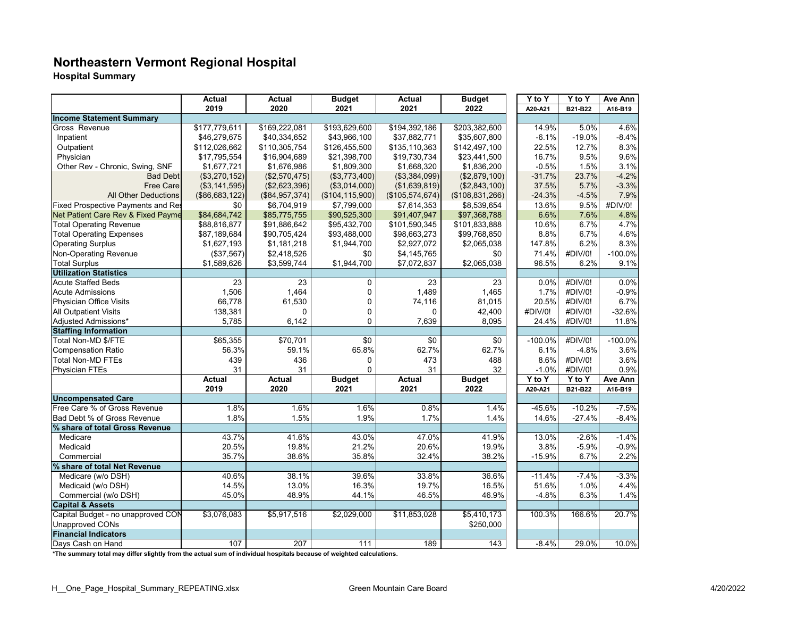# **Northeastern Vermont Regional Hospital**

**Hospital Summary**

|                                           | <b>Actual</b>   | Actual           | <b>Budget</b>     | Actual          | <b>Budget</b>   | Y to Y    | Y to Y   | <b>Ave Ann</b> |
|-------------------------------------------|-----------------|------------------|-------------------|-----------------|-----------------|-----------|----------|----------------|
|                                           | 2019            | 2020             | 2021              | 2021            | 2022            | A20-A21   | B21-B22  | A16-B19        |
| <b>Income Statement Summary</b>           |                 |                  |                   |                 |                 |           |          |                |
| Gross Revenue                             | \$177,779,611   | \$169,222,081    | \$193,629,600     | \$194,392,186   | \$203,382,600   | 14.9%     | 5.0%     | 4.6%           |
| Inpatient                                 | \$46,279,675    | \$40,334,652     | \$43,966,100      | \$37,882,771    | \$35,607,800    | $-6.1%$   | $-19.0%$ | $-8.4%$        |
| Outpatient                                | \$112,026,662   | \$110,305,754    | \$126,455,500     | \$135,110,363   | \$142,497,100   | 22.5%     | 12.7%    | 8.3%           |
| Physician                                 | \$17,795,554    | \$16,904,689     | \$21,398,700      | \$19,730,734    | \$23,441,500    | 16.7%     | 9.5%     | 9.6%           |
| Other Rev - Chronic, Swing, SNF           | \$1,677,721     | \$1,676,986      | \$1,809,300       | \$1,668,320     | \$1,836,200     | $-0.5%$   | 1.5%     | 3.1%           |
| <b>Bad Debt</b>                           | (\$3,270,152)   | (\$2,570,475)    | (\$3,773,400)     | (\$3,384,099)   | (\$2,879,100)   | $-31.7%$  | 23.7%    | $-4.2%$        |
| <b>Free Care</b>                          | (\$3, 141, 595) | (\$2,623,396)    | (\$3,014,000)     | (\$1,639,819)   | (\$2,843,100)   | 37.5%     | 5.7%     | $-3.3%$        |
| <b>All Other Deductions</b>               | (\$86,683,122)  | (\$84,957,374)   | (\$104, 115, 900) | (\$105,574,674) | (\$108,831,266) | $-24.3%$  | $-4.5%$  | 7.9%           |
| <b>Fixed Prospective Payments and Res</b> | \$0             | \$6,704,919      | \$7,799,000       | \$7,614,353     | \$8,539,654     | 13.6%     | 9.5%     | #DIV/0!        |
| Net Patient Care Rev & Fixed Payme        | \$84,684,742    | \$85,775,755     | \$90,525,300      | \$91,407,947    | \$97,368,788    | 6.6%      | 7.6%     | 4.8%           |
| <b>Total Operating Revenue</b>            | \$88,816,877    | \$91,886,642     | \$95,432,700      | \$101,590,345   | \$101,833,888   | 10.6%     | 6.7%     | 4.7%           |
| <b>Total Operating Expenses</b>           | \$87,189,684    | \$90,705,424     | \$93,488,000      | \$98,663,273    | \$99,768,850    | 8.8%      | 6.7%     | 4.6%           |
| <b>Operating Surplus</b>                  | \$1,627,193     | \$1,181,218      | \$1,944,700       | \$2,927,072     | \$2,065,038     | 147.8%    | 6.2%     | 8.3%           |
| Non-Operating Revenue                     | (\$37,567)      | \$2,418,526      | \$0               | \$4,145,765     | \$0             | 71.4%     | #DIV/0!  | $-100.0%$      |
| <b>Total Surplus</b>                      | \$1,589,626     | \$3,599,744      | \$1,944,700       | \$7,072,837     | \$2,065,038     | 96.5%     | 6.2%     | 9.1%           |
| <b>Utilization Statistics</b>             |                 |                  |                   |                 |                 |           |          |                |
| <b>Acute Staffed Beds</b>                 | 23              | 23               | 0                 | 23              | 23              | 0.0%      | #DIV/0!  | 0.0%           |
| <b>Acute Admissions</b>                   | 1,506           | 1,464            | 0                 | 1,489           | 1,465           | 1.7%      | #DIV/0!  | $-0.9%$        |
| Physician Office Visits                   | 66,778          | 61,530           | 0                 | 74,116          | 81,015          | 20.5%     | #DIV/0!  | 6.7%           |
| <b>All Outpatient Visits</b>              | 138,381         | $\Omega$         | 0                 | $\Omega$        | 42,400          | #DIV/0!   | #DIV/0!  | $-32.6%$       |
| Adjusted Admissions*                      | 5,785           | 6,142            | $\mathbf 0$       | 7,639           | 8,095           | 24.4%     | #DIV/0!  | 11.8%          |
| <b>Staffing Information</b>               |                 |                  |                   |                 |                 |           |          |                |
| Total Non-MD \$/FTE                       | \$65,355        | \$70.701         | $\overline{30}$   | \$0             | $\overline{30}$ | $-100.0%$ | #DIV/0!  | $-100.0%$      |
| <b>Compensation Ratio</b>                 | 56.3%           | 59.1%            | 65.8%             | 62.7%           | 62.7%           | 6.1%      | -4.8%    | 3.6%           |
| <b>Total Non-MD FTEs</b>                  | 439             | 436              | 0                 | 473             | 488             | 8.6%      | #DIV/0!  | 3.6%           |
| <b>Physician FTEs</b>                     | 31              | 31               | $\Omega$          | 31              | 32              | $-1.0%$   | #DIV/0!  | 0.9%           |
|                                           | Actual          | <b>Actual</b>    | <b>Budget</b>     | <b>Actual</b>   | <b>Budget</b>   | Y to Y    | Y to Y   | Ave Ann        |
|                                           | 2019            | 2020             | 2021              | 2021            | 2022            | A20-A21   | B21-B22  | A16-B19        |
| <b>Uncompensated Care</b>                 |                 |                  |                   |                 |                 |           |          |                |
| Free Care % of Gross Revenue              | 1.8%            | 1.6%             | 1.6%              | 0.8%            | 1.4%            | $-45.6%$  | $-10.2%$ | $-7.5%$        |
| Bad Debt % of Gross Revenue               | 1.8%            | 1.5%             | 1.9%              | 1.7%            | 1.4%            | 14.6%     | $-27.4%$ | $-8.4%$        |
| % share of total Gross Revenue            |                 |                  |                   |                 |                 |           |          |                |
| Medicare                                  | 43.7%           | 41.6%            | 43.0%             | 47.0%           | 41.9%           | 13.0%     | $-2.6%$  | $-1.4%$        |
| Medicaid                                  | 20.5%           | 19.8%            | 21.2%             | 20.6%           | 19.9%           | 3.8%      | $-5.9%$  | $-0.9%$        |
| Commercial                                | 35.7%           | 38.6%            | 35.8%             | 32.4%           | 38.2%           | $-15.9%$  | 6.7%     | 2.2%           |
| % share of total Net Revenue              |                 |                  |                   |                 |                 |           |          |                |
| Medicare (w/o DSH)                        | 40.6%           | 38.1%            | 39.6%             | 33.8%           | 36.6%           | $-11.4%$  | $-7.4%$  | $-3.3%$        |
| Medicaid (w/o DSH)                        | 14.5%           | 13.0%            | 16.3%             | 19.7%           | 16.5%           | 51.6%     | 1.0%     | 4.4%           |
| Commercial (w/o DSH)                      | 45.0%           | 48.9%            | 44.1%             | 46.5%           | 46.9%           | $-4.8%$   | 6.3%     | 1.4%           |
| <b>Capital &amp; Assets</b>               |                 |                  |                   |                 |                 |           |          |                |
| Capital Budget - no unapproved CON        | \$3,076,083     | \$5,917,516      | \$2,029,000       | \$11,853,028    | \$5,410,173     | 100.3%    | 166.6%   | 20.7%          |
| <b>Unapproved CONs</b>                    |                 |                  |                   |                 | \$250,000       |           |          |                |
| <b>Financial Indicators</b>               |                 |                  |                   |                 |                 |           |          |                |
| Days Cash on Hand                         | 107             | $\overline{207}$ | 111               | 189             | 143             | $-8.4%$   | 29.0%    | 10.0%          |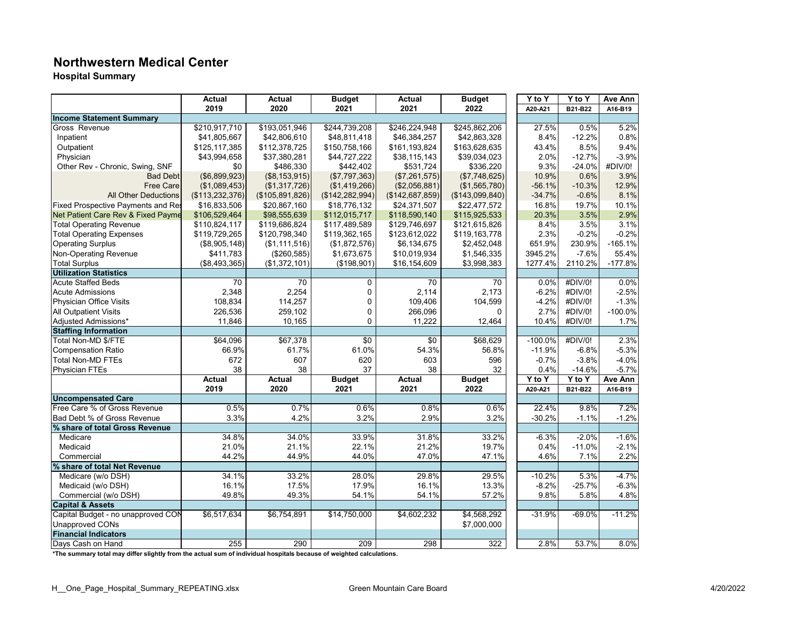#### **Northwestern Medical Center**

**Hospital Summary**

|                                    | Actual          | Actual          | <b>Budget</b>     | Actual          | <b>Budget</b>   | Y to Y    | Y to Y   | Ave Ann   |
|------------------------------------|-----------------|-----------------|-------------------|-----------------|-----------------|-----------|----------|-----------|
|                                    | 2019            | 2020            | 2021              | 2021            | 2022            | A20-A21   | B21-B22  | A16-B19   |
| <b>Income Statement Summary</b>    |                 |                 |                   |                 |                 |           |          |           |
| Gross Revenue                      | \$210,917,710   | \$193,051,946   | \$244,739,208     | \$246,224,948   | \$245,862,206   | 27.5%     | 0.5%     | 5.2%      |
| Inpatient                          | \$41,805,667    | \$42,806,610    | \$48,811,418      | \$46,384,257    | \$42,863,328    | 8.4%      | $-12.2%$ | 0.8%      |
| Outpatient                         | \$125,117,385   | \$112,378,725   | \$150,758,166     | \$161,193,824   | \$163,628,635   | 43.4%     | 8.5%     | 9.4%      |
| Physician                          | \$43,994,658    | \$37,380,281    | \$44,727,222      | \$38,115,143    | \$39,034,023    | 2.0%      | $-12.7%$ | $-3.9%$   |
| Other Rev - Chronic, Swing, SNF    | \$0             | \$486,330       | \$442,402         | \$531,724       | \$336,220       | 9.3%      | $-24.0%$ | #DIV/0!   |
| <b>Bad Debt</b>                    | (\$6,899,923)   | (\$8,153,915)   | (\$7,797,363)     | (\$7,261,575)   | (\$7,748,625)   | 10.9%     | 0.6%     | 3.9%      |
| <b>Free Care</b>                   | (\$1,089,453)   | (\$1,317,726)   | (\$1,419,266)     | (\$2,056,881)   | (\$1,565,780)   | $-56.1%$  | $-10.3%$ | 12.9%     |
| <b>All Other Deductions</b>        | (\$113,232,376) | (\$105,891,826) | (\$142, 282, 994) | (\$142,687,859) | (\$143,099,840) | $-34.7%$  | $-0.6%$  | 8.1%      |
| Fixed Prospective Payments and Res | \$16,833,506    | \$20,867,160    | \$18,776,132      | \$24,371,507    | \$22,477,572    | 16.8%     | 19.7%    | 10.1%     |
| Net Patient Care Rev & Fixed Payme | \$106,529,464   | \$98,555,639    | \$112,015,717     | \$118,590,140   | \$115,925,533   | 20.3%     | 3.5%     | 2.9%      |
| <b>Total Operating Revenue</b>     | \$110,824,117   | \$119,686,824   | \$117,489,589     | \$129,746,697   | \$121,615,826   | 8.4%      | 3.5%     | 3.1%      |
| <b>Total Operating Expenses</b>    | \$119,729,265   | \$120,798,340   | \$119,362,165     | \$123,612,022   | \$119,163,778   | 2.3%      | $-0.2%$  | $-0.2%$   |
| <b>Operating Surplus</b>           | (\$8,905,148)   | (\$1,111,516)   | (\$1,872,576)     | \$6,134,675     | \$2,452,048     | 651.9%    | 230.9%   | $-165.1%$ |
| <b>Non-Operating Revenue</b>       | \$411,783       | (\$260,585)     | \$1,673,675       | \$10,019,934    | \$1,546,335     | 3945.2%   | $-7.6%$  | 55.4%     |
| <b>Total Surplus</b>               | (\$8,493,365)   | (\$1,372,101)   | (\$198,901)       | \$16,154,609    | \$3,998,383     | 1277.4%   | 2110.2%  | $-177.8%$ |
| <b>Utilization Statistics</b>      |                 |                 |                   |                 |                 |           |          |           |
| <b>Acute Staffed Beds</b>          | 70              | 70              | 0                 | 70              | 70              | 0.0%      | #DIV/0!  | 0.0%      |
| <b>Acute Admissions</b>            | 2,348           | 2,254           | 0                 | 2,114           | 2,173           | $-6.2%$   | #DIV/0!  | $-2.5%$   |
| <b>Physician Office Visits</b>     | 108,834         | 114,257         | $\mathbf 0$       | 109,406         | 104,599         | $-4.2%$   | #DIV/0!  | $-1.3%$   |
| <b>All Outpatient Visits</b>       | 226,536         | 259,102         | $\mathbf 0$       | 266,096         | $\Omega$        | 2.7%      | #DIV/0!  | $-100.0%$ |
| Adjusted Admissions*               | 11,846          | 10,165          | 0                 | 11,222          | 12,464          | 10.4%     | #DIV/0!  | 1.7%      |
| <b>Staffing Information</b>        |                 |                 |                   |                 |                 |           |          |           |
| Total Non-MD \$/FTE                | \$64,096        | \$67,378        | \$0               | \$0             | \$68,629        | $-100.0%$ | #DIV/0!  | 2.3%      |
| <b>Compensation Ratio</b>          | 66.9%           | 61.7%           | 61.0%             | 54.3%           | 56.8%           | $-11.9%$  | $-6.8%$  | $-5.3%$   |
| <b>Total Non-MD FTEs</b>           | 672             | 607             | 620               | 603             | 596             | $-0.7%$   | $-3.8%$  | $-4.0%$   |
| <b>Physician FTEs</b>              | 38              | 38              | 37                | 38              | 32              | 0.4%      | $-14.6%$ | $-5.7%$   |
|                                    | Actual          | <b>Actual</b>   | <b>Budget</b>     | <b>Actual</b>   | <b>Budget</b>   | Y to Y    | Y to Y   | Ave Ann   |
|                                    | 2019            | 2020            | 2021              | 2021            | 2022            | A20-A21   | B21-B22  | A16-B19   |
| <b>Uncompensated Care</b>          |                 |                 |                   |                 |                 |           |          |           |
| Free Care % of Gross Revenue       | 0.5%            | 0.7%            | 0.6%              | 0.8%            | 0.6%            | 22.4%     | 9.8%     | 7.2%      |
| Bad Debt % of Gross Revenue        | 3.3%            | 4.2%            | 3.2%              | 2.9%            | 3.2%            | $-30.2%$  | $-1.1%$  | $-1.2%$   |
| % share of total Gross Revenue     |                 |                 |                   |                 |                 |           |          |           |
| Medicare                           | 34.8%           | 34.0%           | 33.9%             | 31.8%           | 33.2%           | $-6.3%$   | $-2.0%$  | $-1.6%$   |
| Medicaid                           | 21.0%           | 21.1%           | 22.1%             | 21.2%           | 19.7%           | 0.4%      | $-11.0%$ | $-2.1%$   |
| Commercial                         | 44.2%           | 44.9%           | 44.0%             | 47.0%           | 47.1%           | 4.6%      | 7.1%     | 2.2%      |
| % share of total Net Revenue       |                 |                 |                   |                 |                 |           |          |           |
| Medicare (w/o DSH)                 | 34.1%           | 33.2%           | 28.0%             | 29.8%           | 29.5%           | $-10.2%$  | 5.3%     | $-4.7%$   |
| Medicaid (w/o DSH)                 | 16.1%           | 17.5%           | 17.9%             | 16.1%           | 13.3%           | $-8.2%$   | $-25.7%$ | $-6.3%$   |
| Commercial (w/o DSH)               | 49.8%           | 49.3%           | 54.1%             | 54.1%           | 57.2%           | 9.8%      | 5.8%     | 4.8%      |
| <b>Capital &amp; Assets</b>        |                 |                 |                   |                 |                 |           |          |           |
| Capital Budget - no unapproved CON | \$6,517,634     | \$6,754,891     | \$14,750,000      | \$4,602,232     | \$4,568,292     | $-31.9%$  | $-69.0%$ | $-11.2%$  |
| <b>Unapproved CONs</b>             |                 |                 |                   |                 | \$7,000,000     |           |          |           |
| <b>Financial Indicators</b>        |                 |                 |                   |                 |                 |           |          |           |
| Days Cash on Hand                  | 255             | 290             | 209               | 298             | 322             | 2.8%      | 53.7%    | 8.0%      |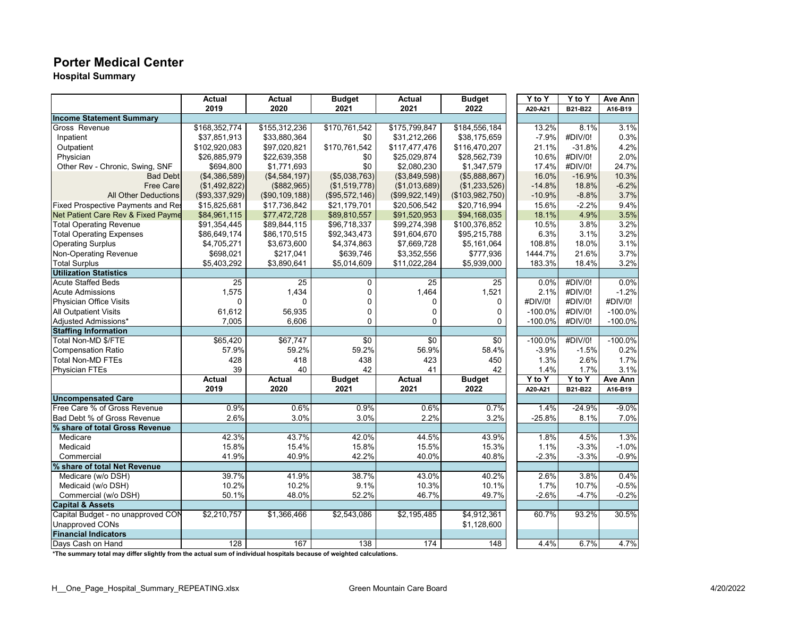#### **Porter Medical Center**

**Hospital Summary**

|                                    | <b>Actual</b>    | Actual         | <b>Budget</b>  | Actual          | <b>Budget</b>   | Y to Y     | Y to Y   | Ave Ann   |
|------------------------------------|------------------|----------------|----------------|-----------------|-----------------|------------|----------|-----------|
|                                    | 2019             | 2020           | 2021           | 2021            | 2022            | A20-A21    | B21-B22  | A16-B19   |
| <b>Income Statement Summary</b>    |                  |                |                |                 |                 |            |          |           |
| Gross Revenue                      | \$168,352,774    | \$155,312,236  | \$170,761,542  | \$175,799,847   | \$184,556,184   | 13.2%      | 8.1%     | 3.1%      |
| Inpatient                          | \$37,851,913     | \$33,880,364   | \$0            | \$31,212,266    | \$38,175,659    | $-7.9%$    | #DIV/0!  | 0.3%      |
| Outpatient                         | \$102,920,083    | \$97,020,821   | \$170,761,542  | \$117,477,476   | \$116,470,207   | 21.1%      | $-31.8%$ | 4.2%      |
| Physician                          | \$26,885,979     | \$22,639,358   | \$0            | \$25,029,874    | \$28,562,739    | 10.6%      | #DIV/0!  | 2.0%      |
| Other Rev - Chronic, Swing, SNF    | \$694,800        | \$1,771,693    | \$0            | \$2,080,230     | \$1,347,579     | 17.4%      | #DIV/0!  | 24.7%     |
| <b>Bad Debt</b>                    | (\$4,386,589)    | (\$4,584,197)  | (\$5,038,763)  | (\$3,849,598)   | (\$5,888,867)   | 16.0%      | $-16.9%$ | 10.3%     |
| <b>Free Care</b>                   | (\$1,492,822)    | (\$882,965)    | (\$1,519,778)  | (\$1,013,689)   | (\$1,233,526)   | $-14.8%$   | 18.8%    | $-6.2%$   |
| <b>All Other Deductions</b>        | (\$93,337,929)   | (\$90,109,188) | (\$95,572,146) | (\$99,922,149)  | (\$103,982,750) | $-10.9%$   | $-8.8%$  | 3.7%      |
| Fixed Prospective Payments and Res | \$15,825,681     | \$17,736,842   | \$21,179,701   | \$20,506,542    | \$20,716,994    | 15.6%      | $-2.2%$  | 9.4%      |
| Net Patient Care Rev & Fixed Payme | \$84,961,115     | \$77,472,728   | \$89,810,557   | \$91,520,953    | \$94,168,035    | 18.1%      | 4.9%     | 3.5%      |
| <b>Total Operating Revenue</b>     | \$91,354,445     | \$89,844,115   | \$96,718,337   | \$99,274,398    | \$100,376,852   | 10.5%      | 3.8%     | 3.2%      |
| <b>Total Operating Expenses</b>    | \$86,649,174     | \$86,170,515   | \$92,343,473   | \$91,604,670    | \$95,215,788    | 6.3%       | 3.1%     | 3.2%      |
| <b>Operating Surplus</b>           | \$4,705,271      | \$3,673,600    | \$4,374,863    | \$7,669,728     | \$5,161,064     | 108.8%     | 18.0%    | 3.1%      |
| <b>Non-Operating Revenue</b>       | \$698,021        | \$217,041      | \$639,746      | \$3,352,556     | \$777,936       | 1444.7%    | 21.6%    | 3.7%      |
| <b>Total Surplus</b>               | \$5,403,292      | \$3,890,641    | \$5,014,609    | \$11,022,284    | \$5,939,000     | 183.3%     | 18.4%    | 3.2%      |
| <b>Utilization Statistics</b>      |                  |                |                |                 |                 |            |          |           |
| <b>Acute Staffed Beds</b>          | 25               | 25             | 0              | 25              | 25              | 0.0%       | #DIV/0!  | 0.0%      |
| <b>Acute Admissions</b>            | 1,575            | 1,434          | $\mathbf 0$    | 1,464           | 1,521           | 2.1%       | #DIV/0!  | $-1.2%$   |
| <b>Physician Office Visits</b>     | $\Omega$         | $\Omega$       | 0              | 0               | $\Omega$        | #DIV/0!    | #DIV/0!  | #DIV/0!   |
| <b>All Outpatient Visits</b>       | 61,612           | 56,935         | $\mathbf 0$    | 0               | $\Omega$        | $-100.0%$  | #DIV/0!  | $-100.0%$ |
| Adjusted Admissions*               | 7,005            | 6,606          | 0              | $\overline{0}$  | 0               | $-100.0%$  | #DIV/0!  | $-100.0%$ |
| <b>Staffing Information</b>        |                  |                |                |                 |                 |            |          |           |
| Total Non-MD \$/FTE                | \$65,420         | \$67,747       | \$0            | $\overline{30}$ | $\overline{30}$ | $-100.0%$  | #DIV/0!  | $-100.0%$ |
| <b>Compensation Ratio</b>          | 57.9%            | 59.2%          | 59.2%          | 56.9%           | 58.4%           | $-3.9%$    | $-1.5%$  | 0.2%      |
| <b>Total Non-MD FTEs</b>           | 428              | 418            | 438            | 423             | 450             | 1.3%       | 2.6%     | 1.7%      |
| <b>Physician FTEs</b>              | 39               | 40             | 42             | 41              | 42              | 1.4%       | 1.7%     | 3.1%      |
|                                    | <b>Actual</b>    | <b>Actual</b>  | <b>Budget</b>  | <b>Actual</b>   | <b>Budget</b>   | $Y$ to $Y$ | Y to Y   | Ave Ann   |
|                                    | 2019             | 2020           | 2021           | 2021            | 2022            | A20-A21    | B21-B22  | A16-B19   |
| <b>Uncompensated Care</b>          |                  |                |                |                 |                 |            |          |           |
| Free Care % of Gross Revenue       | 0.9%             | 0.6%           | 0.9%           | 0.6%            | 0.7%            | 1.4%       | $-24.9%$ | $-9.0%$   |
| Bad Debt % of Gross Revenue        | 2.6%             | 3.0%           | 3.0%           | 2.2%            | 3.2%            | $-25.8%$   | 8.1%     | 7.0%      |
| % share of total Gross Revenue     |                  |                |                |                 |                 |            |          |           |
| Medicare                           | 42.3%            | 43.7%          | 42.0%          | 44.5%           | 43.9%           | 1.8%       | 4.5%     | 1.3%      |
| Medicaid                           | 15.8%            | 15.4%          | 15.8%          | 15.5%           | 15.3%           | 1.1%       | $-3.3%$  | $-1.0%$   |
| Commercial                         | 41.9%            | 40.9%          | 42.2%          | 40.0%           | 40.8%           | $-2.3%$    | $-3.3%$  | $-0.9%$   |
| % share of total Net Revenue       |                  |                |                |                 |                 |            |          |           |
| Medicare (w/o DSH)                 | 39.7%            | 41.9%          | 38.7%          | 43.0%           | 40.2%           | 2.6%       | 3.8%     | 0.4%      |
| Medicaid (w/o DSH)                 | 10.2%            | 10.2%          | 9.1%           | 10.3%           | 10.1%           | 1.7%       | 10.7%    | $-0.5%$   |
| Commercial (w/o DSH)               | 50.1%            | 48.0%          | 52.2%          | 46.7%           | 49.7%           | $-2.6%$    | $-4.7%$  | $-0.2%$   |
| <b>Capital &amp; Assets</b>        |                  |                |                |                 |                 |            |          |           |
| Capital Budget - no unapproved CON | \$2,210,757      | \$1,366,466    | \$2,543,086    | \$2,195,485     | \$4,912,361     | 60.7%      | 93.2%    | 30.5%     |
| <b>Unapproved CONs</b>             |                  |                |                |                 | \$1,128,600     |            |          |           |
| <b>Financial Indicators</b>        |                  |                |                |                 |                 |            |          |           |
| Days Cash on Hand                  | $\overline{128}$ | 167            | 138            | 174             | 148             | 4.4%       | 6.7%     | 4.7%      |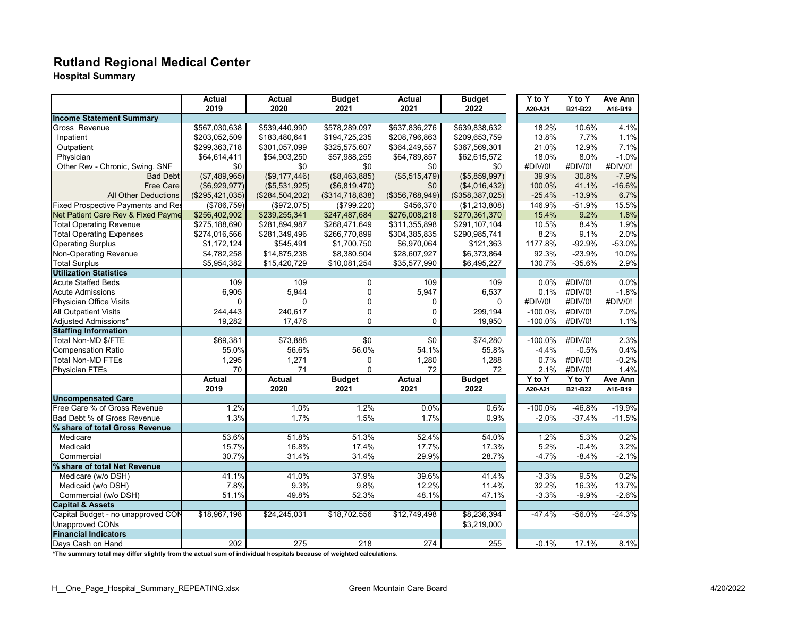# **Rutland Regional Medical Center**

**Hospital Summary**

|                                    | <b>Actual</b>    | Actual          | <b>Budget</b>    | Actual           | <b>Budget</b>   | $\overline{Y}$ to Y              | Y to Y   | Ave Ann  |
|------------------------------------|------------------|-----------------|------------------|------------------|-----------------|----------------------------------|----------|----------|
|                                    | 2019             | 2020            | 2021             | 2021             | 2022            | A20-A21                          | B21-B22  | A16-B19  |
| <b>Income Statement Summary</b>    |                  |                 |                  |                  |                 |                                  |          |          |
| Gross Revenue                      | \$567,030,638    | \$539,440,990   | \$578,289,097    | \$637,836,276    | \$639,838,632   | 18.2%                            | 10.6%    | 4.1%     |
| Inpatient                          | \$203,052,509    | \$183,480,641   | \$194,725,235    | \$208,796,863    | \$209,653,759   | 13.8%                            | 7.7%     | 1.1%     |
| Outpatient                         | \$299,363,718    | \$301,057,099   | \$325,575,607    | \$364,249,557    | \$367,569,301   | 21.0%                            | 12.9%    | 7.1%     |
| Physician                          | \$64,614,411     | \$54,903,250    | \$57,988,255     | \$64,789,857     | \$62,615,572    | 18.0%                            | 8.0%     | $-1.0%$  |
| Other Rev - Chronic, Swing, SNF    | \$0              | \$0             | \$0              | \$0              | \$0             | #DIV/0!                          | #DIV/0!  | #DIV/0!  |
| <b>Bad Debt</b>                    | (\$7,489,965)    | (\$9,177,446)   | (\$8,463,885)    | (\$5,515,479)    | (\$5,859,997)   | 39.9%                            | 30.8%    | $-7.9%$  |
| <b>Free Care</b>                   | (\$6,929,977)    | (\$5,531,925)   | (\$6,819,470)    | \$0              | (\$4,016,432)   | 100.0%                           | 41.1%    | $-16.6%$ |
| <b>All Other Deductions</b>        | (\$295,421,035)  | (\$284,504,202) | (\$314,718,838)  | (\$356,768,949)  | (\$358,387,025) | $-25.4%$                         | $-13.9%$ | 6.7%     |
| Fixed Prospective Payments and Res | (\$786, 759)     | (\$972,075)     | (\$799,220)      | \$456,370        | (\$1,213,808)   | 146.9%                           | $-51.9%$ | 15.5%    |
| Net Patient Care Rev & Fixed Payme | \$256,402,902    | \$239,255,341   | \$247,487,684    | \$276,008,218    | \$270,361,370   | 15.4%                            | 9.2%     | 1.8%     |
| <b>Total Operating Revenue</b>     | \$275,188,690    | \$281,894,987   | \$268,471,649    | \$311,355,898    | \$291,107,104   | 10.5%                            | 8.4%     | 1.9%     |
| <b>Total Operating Expenses</b>    | \$274,016,566    | \$281,349,496   | \$266,770,899    | \$304,385,835    | \$290,985,741   | 8.2%                             | 9.1%     | 2.0%     |
| <b>Operating Surplus</b>           | \$1,172,124      | \$545,491       | \$1,700,750      | \$6,970,064      | \$121,363       | 1177.8%                          | $-92.9%$ | $-53.0%$ |
| Non-Operating Revenue              | \$4,782,258      | \$14,875,238    | \$8,380,504      | \$28,607,927     | \$6,373,864     | 92.3%                            | $-23.9%$ | 10.0%    |
| <b>Total Surplus</b>               | \$5,954,382      | \$15,420,729    | \$10,081,254     | \$35,577,990     | \$6,495,227     | 130.7%                           | $-35.6%$ | 2.9%     |
| <b>Utilization Statistics</b>      |                  |                 |                  |                  |                 |                                  |          |          |
| <b>Acute Staffed Beds</b>          | 109              | 109             | 0                | 109              | 109             | 0.0%                             | #DIV/0!  | 0.0%     |
| <b>Acute Admissions</b>            | 6,905            | 5,944           | 0                | 5,947            | 6,537           | 0.1%                             | #DIV/0!  | $-1.8%$  |
| Physician Office Visits            | $\Omega$         | $\Omega$        | $\Omega$         | 0                | $\Omega$        | #DIV/0!                          | #DIV/0!  | #DIV/0!  |
| <b>All Outpatient Visits</b>       | 244.443          | 240.617         | $\mathbf 0$      | 0                | 299,194         | $-100.0%$                        | #DIV/0!  | 7.0%     |
| Adjusted Admissions*               | 19,282           | 17,476          | 0                | 0                | 19,950          | $-100.0%$                        | #DIV/0!  | 1.1%     |
| <b>Staffing Information</b>        |                  |                 |                  |                  |                 |                                  |          |          |
| Total Non-MD \$/FTE                | \$69,381         | \$73,888        | \$0              | \$0              | \$74,280        | $-100.0%$                        | #DIV/0!  | 2.3%     |
| <b>Compensation Ratio</b>          | 55.0%            | 56.6%           | 56.0%            | 54.1%            | 55.8%           | $-4.4%$                          | $-0.5%$  | 0.4%     |
| <b>Total Non-MD FTEs</b>           | 1,295            | 1,271           | 0                | 1,280            | 1,288           | 0.7%                             | #DIV/0!  | $-0.2%$  |
| <b>Physician FTEs</b>              | 70               | 71              | $\Omega$         | 72               | 72              | 2.1%                             | #DIV/0!  | 1.4%     |
|                                    | <b>Actual</b>    | <b>Actual</b>   | <b>Budget</b>    | <b>Actual</b>    | <b>Budget</b>   | $\overline{Y}$ to $\overline{Y}$ | Y to Y   | Ave Ann  |
|                                    | 2019             | 2020            | 2021             | 2021             | 2022            | A20-A21                          | B21-B22  | A16-B19  |
| <b>Uncompensated Care</b>          |                  |                 |                  |                  |                 |                                  |          |          |
| Free Care % of Gross Revenue       | 1.2%             | 1.0%            | 1.2%             | 0.0%             | 0.6%            | $-100.0%$                        | $-46.8%$ | $-19.9%$ |
| Bad Debt % of Gross Revenue        | 1.3%             | 1.7%            | 1.5%             | 1.7%             | 0.9%            | $-2.0%$                          | $-37.4%$ | $-11.5%$ |
| % share of total Gross Revenue     |                  |                 |                  |                  |                 |                                  |          |          |
| Medicare                           | 53.6%            | 51.8%           | 51.3%            | 52.4%            | 54.0%           | 1.2%                             | 5.3%     | 0.2%     |
| Medicaid                           | 15.7%            | 16.8%           | 17.4%            | 17.7%            | 17.3%           | 5.2%                             | $-0.4%$  | 3.2%     |
| Commercial                         | 30.7%            | 31.4%           | 31.4%            | 29.9%            | 28.7%           | $-4.7%$                          | $-8.4%$  | $-2.1%$  |
| % share of total Net Revenue       |                  |                 |                  |                  |                 |                                  |          |          |
| Medicare (w/o DSH)                 | 41.1%            | 41.0%           | 37.9%            | 39.6%            | 41.4%           | $-3.3%$                          | 9.5%     | 0.2%     |
| Medicaid (w/o DSH)                 | 7.8%             | 9.3%            | 9.8%             | 12.2%            | 11.4%           | 32.2%                            | 16.3%    | 13.7%    |
| Commercial (w/o DSH)               | 51.1%            | 49.8%           | 52.3%            | 48.1%            | 47.1%           | $-3.3%$                          | $-9.9%$  | $-2.6%$  |
| <b>Capital &amp; Assets</b>        |                  |                 |                  |                  |                 |                                  |          |          |
| Capital Budget - no unapproved CON | \$18,967,198     | \$24,245,031    | \$18,702,556     | \$12,749,498     | \$8,236,394     | $-47.4%$                         | $-56.0%$ | $-24.3%$ |
| <b>Unapproved CONs</b>             |                  |                 |                  |                  | \$3,219,000     |                                  |          |          |
| <b>Financial Indicators</b>        |                  |                 |                  |                  |                 |                                  |          |          |
| Davs Cash on Hand                  | $\overline{202}$ | 275             | $\overline{218}$ | $\overline{274}$ | 255             | $-0.1%$                          | 17.1%    | 8.1%     |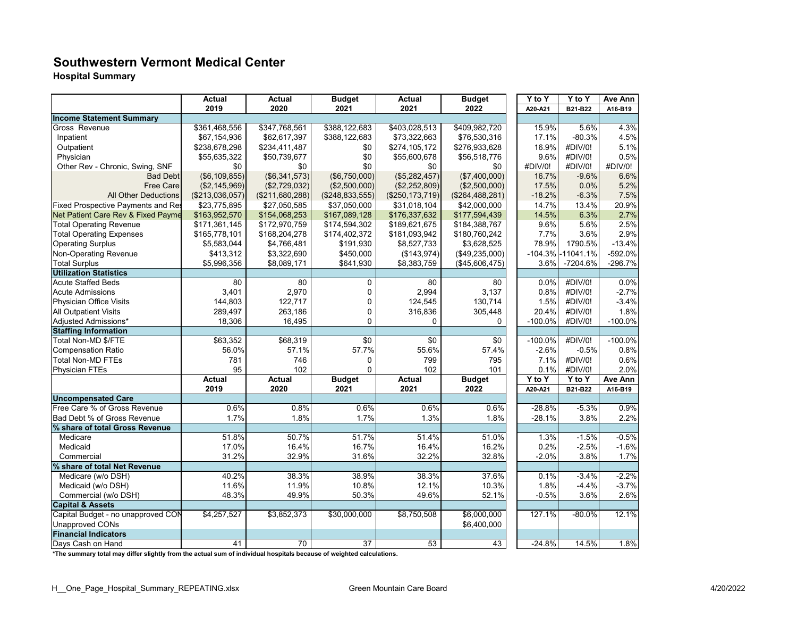#### **Southwestern Vermont Medical Center**

**Hospital Summary**

|                                    | Actual          | Actual          | <b>Budget</b>     | Actual            | <b>Budget</b>   | Y to Y     | Y to Y      | Ave Ann   |
|------------------------------------|-----------------|-----------------|-------------------|-------------------|-----------------|------------|-------------|-----------|
|                                    | 2019            | 2020            | 2021              | 2021              | 2022            | A20-A21    | B21-B22     | A16-B19   |
| <b>Income Statement Summary</b>    |                 |                 |                   |                   |                 |            |             |           |
| Gross Revenue                      | \$361,468,556   | \$347,768,561   | \$388,122,683     | \$403,028,513     | \$409,982,720   | 15.9%      | 5.6%        | 4.3%      |
| Inpatient                          | \$67,154,936    | \$62,617,397    | \$388,122,683     | \$73,322,663      | \$76,530,316    | 17.1%      | $-80.3%$    | 4.5%      |
| Outpatient                         | \$238,678,298   | \$234,411,487   | \$0               | \$274,105,172     | \$276,933,628   | 16.9%      | #DIV/0!     | 5.1%      |
| Physician                          | \$55,635,322    | \$50,739,677    | \$0               | \$55,600,678      | \$56,518,776    | 9.6%       | #DIV/0!     | 0.5%      |
| Other Rev - Chronic, Swing, SNF    | \$0             | \$0             | \$0               | \$0               | \$0             | #DIV/0!    | #DIV/0!     | #DIV/0!   |
| <b>Bad Debt</b>                    | (\$6, 109, 855) | (\$6,341,573)   | (\$6,750,000)     | (\$5,282,457)     | (\$7,400,000)   | 16.7%      | $-9.6%$     | 6.6%      |
| <b>Free Care</b>                   | (\$2,145,969)   | (\$2,729,032)   | (\$2,500,000)     | (\$2,252,809)     | (\$2,500,000)   | 17.5%      | 0.0%        | 5.2%      |
| <b>All Other Deductions</b>        | (\$213,036,057) | (\$211,680,288) | (\$248, 833, 555) | (\$250, 173, 719) | (\$264,488,281) | $-18.2%$   | $-6.3%$     | 7.5%      |
| Fixed Prospective Payments and Res | \$23,775,895    | \$27,050,585    | \$37,050,000      | \$31,018,104      | \$42,000,000    | 14.7%      | 13.4%       | 20.9%     |
| Net Patient Care Rev & Fixed Payme | \$163,952,570   | \$154,068,253   | \$167,089,128     | \$176,337,632     | \$177,594,439   | 14.5%      | 6.3%        | 2.7%      |
| <b>Total Operating Revenue</b>     | \$171,361,145   | \$172,970,759   | \$174,594,302     | \$189,621,675     | \$184,388,767   | 9.6%       | 5.6%        | 2.5%      |
| <b>Total Operating Expenses</b>    | \$165,778,101   | \$168,204,278   | \$174,402,372     | \$181,093,942     | \$180,760,242   | 7.7%       | 3.6%        | 2.9%      |
| <b>Operating Surplus</b>           | \$5,583,044     | \$4,766,481     | \$191,930         | \$8,527,733       | \$3,628,525     | 78.9%      | 1790.5%     | $-13.4%$  |
| Non-Operating Revenue              | \$413,312       | \$3,322,690     | \$450,000         | (\$143,974)       | (\$49,235,000)  | $-104.3%$  | $-11041.1%$ | -592.0%   |
| <b>Total Surplus</b>               | \$5,996,356     | \$8,089,171     | \$641,930         | \$8,383,759       | (\$45,606,475)  | 3.6%       | -7204.6%    | $-296.7%$ |
| <b>Utilization Statistics</b>      |                 |                 |                   |                   |                 |            |             |           |
| <b>Acute Staffed Beds</b>          | 80              | 80              | 0                 | 80                | 80              | 0.0%       | #DIV/0!     | 0.0%      |
| <b>Acute Admissions</b>            | 3,401           | 2,970           | 0                 | 2,994             | 3,137           | 0.8%       | #DIV/0!     | $-2.7%$   |
| Physician Office Visits            | 144,803         | 122,717         | 0                 | 124,545           | 130,714         | 1.5%       | #DIV/0!     | $-3.4%$   |
| <b>All Outpatient Visits</b>       | 289,497         | 263,186         | 0                 | 316,836           | 305,448         | 20.4%      | #DIV/0!     | 1.8%      |
| Adjusted Admissions*               | 18,306          | 16,495          | 0                 | 0                 | $\mathbf 0$     | $-100.0\%$ | #DIV/0!     | $-100.0%$ |
| <b>Staffing Information</b>        |                 |                 |                   |                   |                 |            |             |           |
| Total Non-MD \$/FTE                | \$63,352        | \$68,319        | $\sqrt{6}$        | $\overline{30}$   | $\sqrt{6}$      | $-100.0%$  | #DIV/0!     | $-100.0%$ |
| <b>Compensation Ratio</b>          | 56.0%           | 57.1%           | 57.7%             | 55.6%             | 57.4%           | $-2.6\%$   | $-0.5%$     | 0.8%      |
| <b>Total Non-MD FTEs</b>           | 781             | 746             | $\mathbf 0$       | 799               | 795             | 7.1%       | #DIV/0!     | 0.6%      |
| <b>Physician FTEs</b>              | 95              | 102             | 0                 | 102               | 101             | 0.1%       | #DIV/0!     | 2.0%      |
|                                    | <b>Actual</b>   | <b>Actual</b>   | <b>Budget</b>     | <b>Actual</b>     | <b>Budget</b>   | Y to Y     | Y to Y      | Ave Ann   |
|                                    | 2019            | 2020            | 2021              | 2021              | 2022            | A20-A21    | B21-B22     | A16-B19   |
| <b>Uncompensated Care</b>          |                 |                 |                   |                   |                 |            |             |           |
| Free Care % of Gross Revenue       | 0.6%            | 0.8%            | 0.6%              | 0.6%              | 0.6%            | $-28.8%$   | $-5.3%$     | 0.9%      |
| Bad Debt % of Gross Revenue        | 1.7%            | 1.8%            | 1.7%              | 1.3%              | 1.8%            | $-28.1%$   | 3.8%        | 2.2%      |
| % share of total Gross Revenue     |                 |                 |                   |                   |                 |            |             |           |
| Medicare                           | 51.8%           | 50.7%           | 51.7%             | 51.4%             | 51.0%           | 1.3%       | $-1.5%$     | $-0.5%$   |
| Medicaid                           | 17.0%           | 16.4%           | 16.7%             | 16.4%             | 16.2%           | 0.2%       | $-2.5%$     | $-1.6%$   |
| Commercial                         | 31.2%           | 32.9%           | 31.6%             | 32.2%             | 32.8%           | $-2.0%$    | 3.8%        | 1.7%      |
| % share of total Net Revenue       |                 |                 |                   |                   |                 |            |             |           |
| Medicare (w/o DSH)                 | 40.2%           | 38.3%           | 38.9%             | 38.3%             | 37.6%           | 0.1%       | $-3.4%$     | $-2.2%$   |
| Medicaid (w/o DSH)                 | 11.6%           | 11.9%           | 10.8%             | 12.1%             | 10.3%           | 1.8%       | $-4.4%$     | $-3.7%$   |
| Commercial (w/o DSH)               | 48.3%           | 49.9%           | 50.3%             | 49.6%             | 52.1%           | $-0.5%$    | 3.6%        | 2.6%      |
| <b>Capital &amp; Assets</b>        |                 |                 |                   |                   |                 |            |             |           |
| Capital Budget - no unapproved CON | \$4,257,527     | \$3,852,373     | \$30,000,000      | \$8,750,508       | \$6,000,000     | 127.1%     | $-80.0%$    | 12.1%     |
| <b>Unapproved CONs</b>             |                 |                 |                   |                   | \$6,400,000     |            |             |           |
| <b>Financial Indicators</b>        |                 |                 |                   |                   |                 |            |             |           |
| Days Cash on Hand                  | 41              | $\overline{70}$ | $\overline{37}$   | $\overline{53}$   | 43              | $-24.8%$   | 14.5%       | 1.8%      |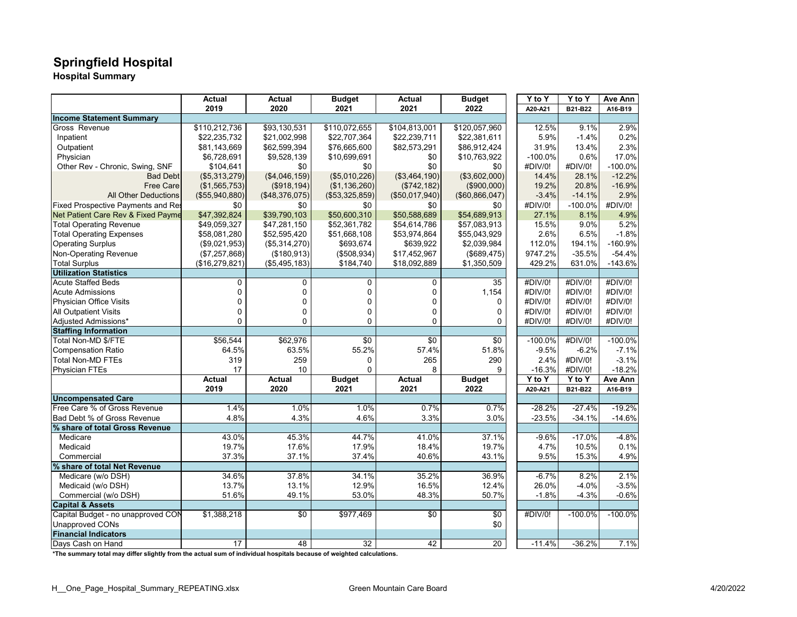# **Springfield Hospital**

**Hospital Summary**

|                                    | <b>Actual</b>  | Actual          | <b>Budget</b>   | Actual          | <b>Budget</b>   | Y to Y    | Y to Y     | Ave Ann    |
|------------------------------------|----------------|-----------------|-----------------|-----------------|-----------------|-----------|------------|------------|
|                                    | 2019           | 2020            | 2021            | 2021            | 2022            | A20-A21   | B21-B22    | A16-B19    |
| <b>Income Statement Summary</b>    |                |                 |                 |                 |                 |           |            |            |
| Gross Revenue                      | \$110,212,736  | \$93,130,531    | \$110,072,655   | \$104,813,001   | \$120,057,960   | 12.5%     | 9.1%       | 2.9%       |
| Inpatient                          | \$22,235,732   | \$21,002,998    | \$22,707,364    | \$22,239,711    | \$22,381,611    | 5.9%      | $-1.4%$    | 0.2%       |
| Outpatient                         | \$81,143,669   | \$62,599,394    | \$76,665,600    | \$82,573,291    | \$86,912,424    | 31.9%     | 13.4%      | 2.3%       |
| Physician                          | \$6,728,691    | \$9,528,139     | \$10,699,691    | \$0             | \$10,763,922    | $-100.0%$ | 0.6%       | 17.0%      |
| Other Rev - Chronic, Swing, SNF    | \$104,641      | \$0             | \$0             | \$0             | \$0             | #DIV/0!   | #DIV/0!    | $-100.0%$  |
| <b>Bad Debt</b>                    | (\$5,313,279)  | (\$4,046,159)   | (\$5,010,226)   | (\$3,464,190)   | (\$3,602,000)   | 14.4%     | 28.1%      | $-12.2%$   |
| <b>Free Care</b>                   | (\$1,565,753)  | (\$918, 194)    | (\$1,136,260)   | (\$742, 182)    | (\$900,000)     | 19.2%     | 20.8%      | $-16.9%$   |
| <b>All Other Deductions</b>        | (\$55,940,880) | (\$48,376,075)  | (\$53,325,859)  | (\$50,017,940)  | (\$60,866,047)  | $-3.4%$   | $-14.1%$   | 2.9%       |
| Fixed Prospective Payments and Res | \$0            | \$0             | \$0             | \$0             | \$0             | #DIV/0!   | $-100.0\%$ | #DIV/0!    |
| Net Patient Care Rev & Fixed Payme | \$47,392,824   | \$39,790,103    | \$50,600,310    | \$50,588,689    | \$54.689.913    | 27.1%     | 8.1%       | 4.9%       |
| <b>Total Operating Revenue</b>     | \$49,059,327   | \$47,281,150    | \$52,361,782    | \$54,614,786    | \$57,083,913    | 15.5%     | 9.0%       | 5.2%       |
| <b>Total Operating Expenses</b>    | \$58,081,280   | \$52,595,420    | \$51,668,108    | \$53,974,864    | \$55,043,929    | 2.6%      | 6.5%       | $-1.8%$    |
| <b>Operating Surplus</b>           | (\$9,021,953)  | (\$5,314,270)   | \$693,674       | \$639,922       | \$2,039,984     | 112.0%    | 194.1%     | $-160.9%$  |
| Non-Operating Revenue              | (\$7,257,868)  | (\$180,913)     | (\$508,934)     | \$17,452,967    | (\$689,475)     | 9747.2%   | $-35.5%$   | $-54.4%$   |
| <b>Total Surplus</b>               | (\$16,279,821) | (\$5,495,183)   | \$184,740       | \$18,092,889    | \$1,350,509     | 429.2%    | 631.0%     | $-143.6%$  |
| <b>Utilization Statistics</b>      |                |                 |                 |                 |                 |           |            |            |
| <b>Acute Staffed Beds</b>          | 0              | $\mathbf 0$     | $\mathbf 0$     | 0               | 35              | #DIV/0!   | #DIV/0!    | #DIV/0!    |
| <b>Acute Admissions</b>            | 0              | $\mathbf 0$     | 0               | 0               | 1,154           | #DIV/0!   | #DIV/0!    | #DIV/0!    |
| Physician Office Visits            | 0              | $\mathbf 0$     | 0               | 0               | 0               | #DIV/0!   | #DIV/0!    | #DIV/0!    |
| <b>All Outpatient Visits</b>       | 0              | $\mathbf 0$     | $\mathbf 0$     | 0               | 0               | #DIV/0!   | #DIV/0!    | #DIV/0!    |
| Adjusted Admissions*               | 0              | $\mathbf 0$     | $\Omega$        | $\Omega$        | 0               | #DIV/0!   | #DIV/0!    | #DIV/0!    |
| <b>Staffing Information</b>        |                |                 |                 |                 |                 |           |            |            |
| Total Non-MD \$/FTE                | \$56,544       | \$62,976        | $\sqrt{6}$      | $\overline{30}$ | \$0             | $-100.0%$ | #DIV/0!    | $-100.0\%$ |
| <b>Compensation Ratio</b>          | 64.5%          | 63.5%           | 55.2%           | 57.4%           | 51.8%           | $-9.5%$   | $-6.2%$    | $-7.1%$    |
| <b>Total Non-MD FTEs</b>           | 319            | 259             | 0               | 265             | 290             | 2.4%      | #DIV/0!    | $-3.1%$    |
| <b>Physician FTEs</b>              | 17             | 10              | $\Omega$        | 8               | 9               | $-16.3%$  | #DIV/0!    | $-18.2%$   |
|                                    | <b>Actual</b>  | Actual          | <b>Budget</b>   | <b>Actual</b>   | <b>Budget</b>   | Y to Y    | Y to Y     | Ave Ann    |
|                                    | 2019           | 2020            | 2021            | 2021            | 2022            | A20-A21   | B21-B22    | A16-B19    |
| <b>Uncompensated Care</b>          |                |                 |                 |                 |                 |           |            |            |
| Free Care % of Gross Revenue       | 1.4%           | 1.0%            | 1.0%            | 0.7%            | 0.7%            | $-28.2%$  | $-27.4%$   | $-19.2%$   |
| Bad Debt % of Gross Revenue        | 4.8%           | 4.3%            | 4.6%            | 3.3%            | 3.0%            | $-23.5%$  | $-34.1%$   | $-14.6%$   |
| % share of total Gross Revenue     |                |                 |                 |                 |                 |           |            |            |
| Medicare                           | 43.0%          | 45.3%           | 44.7%           | 41.0%           | 37.1%           | $-9.6%$   | $-17.0%$   | $-4.8%$    |
| Medicaid                           | 19.7%          | 17.6%           | 17.9%           | 18.4%           | 19.7%           | 4.7%      | 10.5%      | 0.1%       |
| Commercial                         | 37.3%          | 37.1%           | 37.4%           | 40.6%           | 43.1%           | 9.5%      | 15.3%      | 4.9%       |
| % share of total Net Revenue       |                |                 |                 |                 |                 |           |            |            |
| Medicare (w/o DSH)                 | 34.6%          | 37.8%           | 34.1%           | 35.2%           | 36.9%           | $-6.7%$   | 8.2%       | 2.1%       |
| Medicaid (w/o DSH)                 | 13.7%          | 13.1%           | 12.9%           | 16.5%           | 12.4%           | 26.0%     | $-4.0%$    | $-3.5%$    |
| Commercial (w/o DSH)               | 51.6%          | 49.1%           | 53.0%           | 48.3%           | 50.7%           | $-1.8%$   | $-4.3%$    | $-0.6%$    |
| <b>Capital &amp; Assets</b>        |                |                 |                 |                 |                 |           |            |            |
| Capital Budget - no unapproved CON | \$1,388,218    | $\sqrt{6}$      | \$977,469       | $\overline{50}$ | \$0             | #DIV/0!   | $-100.0%$  | $-100.0%$  |
| <b>Unapproved CONs</b>             |                |                 |                 |                 | \$0             |           |            |            |
| <b>Financial Indicators</b>        |                |                 |                 |                 |                 |           |            |            |
| Davs Cash on Hand                  | 17             | $\overline{48}$ | $\overline{32}$ | 42              | $\overline{20}$ | $-11.4%$  | $-36.2%$   | 7.1%       |